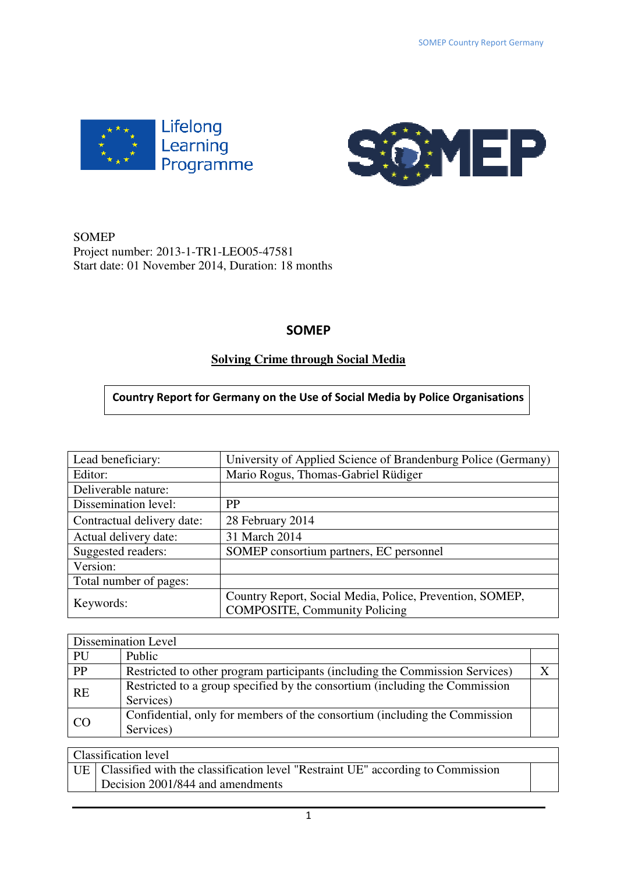



## SOMEP Project number: 2013-1-TR1-LEO05-47581 Start date: 01 November 2014, Duration: 18 months

# **SOMEP**

# **Solving Crime through Social Media**

# **Country Report for Germany on the Use of Social Media by Police Organisations**

| Lead beneficiary:          | University of Applied Science of Brandenburg Police (Germany) |  |  |  |  |
|----------------------------|---------------------------------------------------------------|--|--|--|--|
| Editor:                    | Mario Rogus, Thomas-Gabriel Rüdiger                           |  |  |  |  |
| Deliverable nature:        |                                                               |  |  |  |  |
| Dissemination level:       | <b>PP</b>                                                     |  |  |  |  |
| Contractual delivery date: | 28 February 2014                                              |  |  |  |  |
| Actual delivery date:      | 31 March 2014                                                 |  |  |  |  |
| Suggested readers:         | SOMEP consortium partners, EC personnel                       |  |  |  |  |
| Version:                   |                                                               |  |  |  |  |
| Total number of pages:     |                                                               |  |  |  |  |
| Keywords:                  | Country Report, Social Media, Police, Prevention, SOMEP,      |  |  |  |  |
|                            | <b>COMPOSITE, Community Policing</b>                          |  |  |  |  |

|           | Dissemination Level                                                                      |  |
|-----------|------------------------------------------------------------------------------------------|--|
| PU        | Public                                                                                   |  |
| PP        | Restricted to other program participants (including the Commission Services)             |  |
| <b>RE</b> | Restricted to a group specified by the consortium (including the Commission<br>Services) |  |
| CO        | Confidential, only for members of the consortium (including the Commission<br>Services)  |  |

## Classification level UE Classified with the classification level "Restraint UE" according to Commission Decision 2001/844 and amendments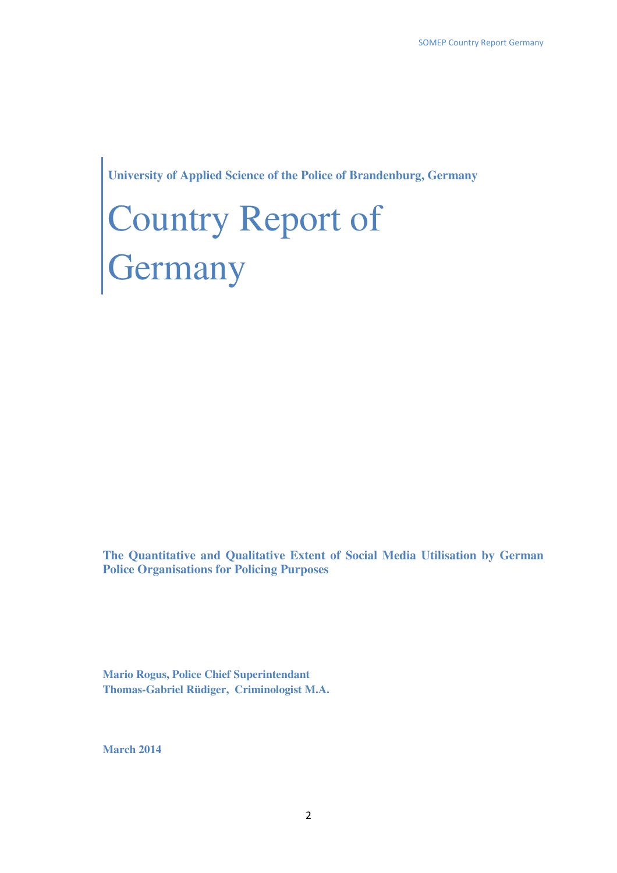**University of Applied Science of the Police of Brandenburg, Germany**

# Country Report of **Germany**

**The Quantitative and Qualitative Extent of Social Media Utilisation by German Police Organisations for Policing Purposes** 

**Mario Rogus, Police Chief Superintendant Thomas-Gabriel Rüdiger, Criminologist M.A.** 

**March 2014**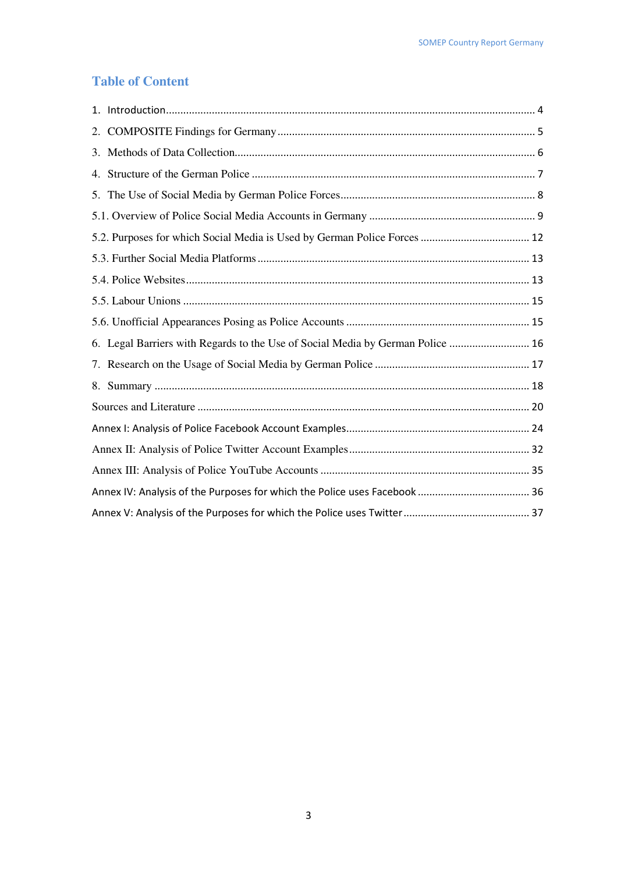# **Table of Content**

| 6. Legal Barriers with Regards to the Use of Social Media by German Police  16 |  |
|--------------------------------------------------------------------------------|--|
|                                                                                |  |
|                                                                                |  |
|                                                                                |  |
|                                                                                |  |
|                                                                                |  |
|                                                                                |  |
|                                                                                |  |
|                                                                                |  |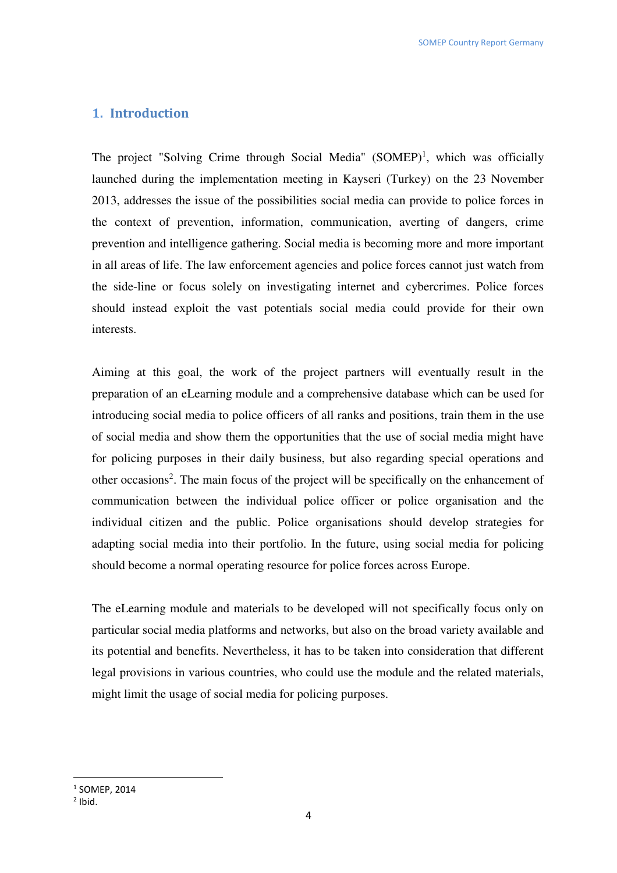## **1. Introduction**

The project "Solving Crime through Social Media" (SOMEP)<sup>1</sup>, which was officially launched during the implementation meeting in Kayseri (Turkey) on the 23 November 2013, addresses the issue of the possibilities social media can provide to police forces in the context of prevention, information, communication, averting of dangers, crime prevention and intelligence gathering. Social media is becoming more and more important in all areas of life. The law enforcement agencies and police forces cannot just watch from the side-line or focus solely on investigating internet and cybercrimes. Police forces should instead exploit the vast potentials social media could provide for their own interests.

Aiming at this goal, the work of the project partners will eventually result in the preparation of an eLearning module and a comprehensive database which can be used for introducing social media to police officers of all ranks and positions, train them in the use of social media and show them the opportunities that the use of social media might have for policing purposes in their daily business, but also regarding special operations and other occasions<sup>2</sup>. The main focus of the project will be specifically on the enhancement of communication between the individual police officer or police organisation and the individual citizen and the public. Police organisations should develop strategies for adapting social media into their portfolio. In the future, using social media for policing should become a normal operating resource for police forces across Europe.

The eLearning module and materials to be developed will not specifically focus only on particular social media platforms and networks, but also on the broad variety available and its potential and benefits. Nevertheless, it has to be taken into consideration that different legal provisions in various countries, who could use the module and the related materials, might limit the usage of social media for policing purposes.

<sup>1</sup> SOMEP, 2014

 $2$  Ibid.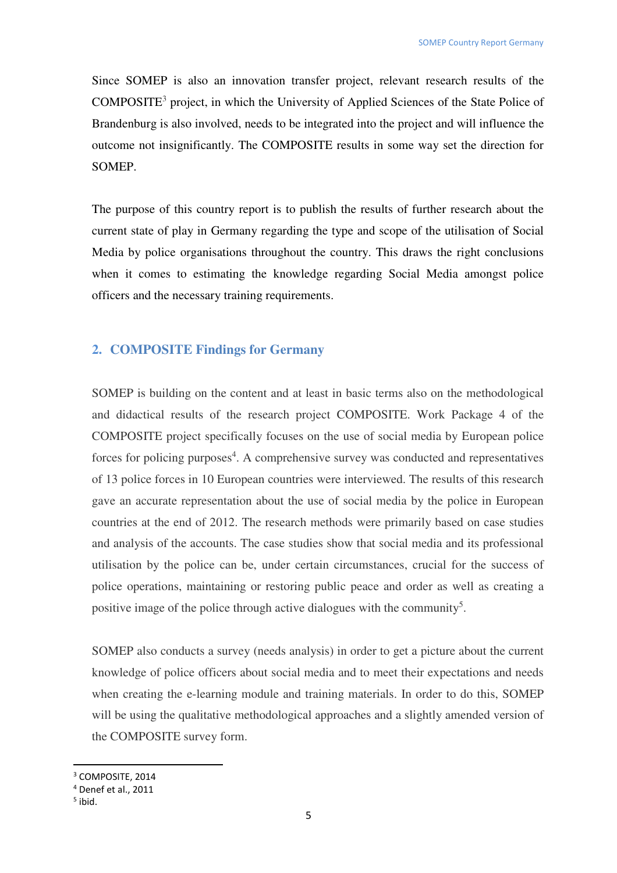Since SOMEP is also an innovation transfer project, relevant research results of the COMPOSITE<sup>3</sup> project, in which the University of Applied Sciences of the State Police of Brandenburg is also involved, needs to be integrated into the project and will influence the outcome not insignificantly. The COMPOSITE results in some way set the direction for SOMEP.

The purpose of this country report is to publish the results of further research about the current state of play in Germany regarding the type and scope of the utilisation of Social Media by police organisations throughout the country. This draws the right conclusions when it comes to estimating the knowledge regarding Social Media amongst police officers and the necessary training requirements.

#### **2. COMPOSITE Findings for Germany**

SOMEP is building on the content and at least in basic terms also on the methodological and didactical results of the research project COMPOSITE. Work Package 4 of the COMPOSITE project specifically focuses on the use of social media by European police forces for policing purposes<sup>4</sup>. A comprehensive survey was conducted and representatives of 13 police forces in 10 European countries were interviewed. The results of this research gave an accurate representation about the use of social media by the police in European countries at the end of 2012. The research methods were primarily based on case studies and analysis of the accounts. The case studies show that social media and its professional utilisation by the police can be, under certain circumstances, crucial for the success of police operations, maintaining or restoring public peace and order as well as creating a positive image of the police through active dialogues with the community<sup>5</sup>.

SOMEP also conducts a survey (needs analysis) in order to get a picture about the current knowledge of police officers about social media and to meet their expectations and needs when creating the e-learning module and training materials. In order to do this, SOMEP will be using the qualitative methodological approaches and a slightly amended version of the COMPOSITE survey form.

<sup>3</sup> COMPOSITE, 2014

<sup>4</sup> Denef et al., 2011

<sup>5</sup> ibid.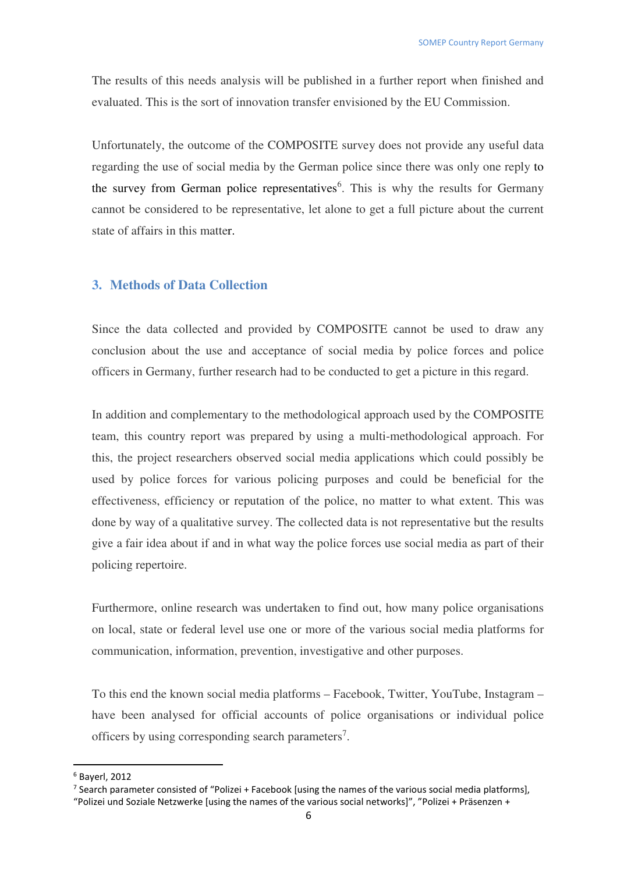The results of this needs analysis will be published in a further report when finished and evaluated. This is the sort of innovation transfer envisioned by the EU Commission.

Unfortunately, the outcome of the COMPOSITE survey does not provide any useful data regarding the use of social media by the German police since there was only one reply to the survey from German police representatives<sup>6</sup>. This is why the results for Germany cannot be considered to be representative, let alone to get a full picture about the current state of affairs in this matter.

## **3. Methods of Data Collection**

Since the data collected and provided by COMPOSITE cannot be used to draw any conclusion about the use and acceptance of social media by police forces and police officers in Germany, further research had to be conducted to get a picture in this regard.

In addition and complementary to the methodological approach used by the COMPOSITE team, this country report was prepared by using a multi-methodological approach. For this, the project researchers observed social media applications which could possibly be used by police forces for various policing purposes and could be beneficial for the effectiveness, efficiency or reputation of the police, no matter to what extent. This was done by way of a qualitative survey. The collected data is not representative but the results give a fair idea about if and in what way the police forces use social media as part of their policing repertoire.

Furthermore, online research was undertaken to find out, how many police organisations on local, state or federal level use one or more of the various social media platforms for communication, information, prevention, investigative and other purposes.

To this end the known social media platforms – Facebook, Twitter, YouTube, Instagram – have been analysed for official accounts of police organisations or individual police officers by using corresponding search parameters<sup>7</sup>.

<sup>6</sup> Bayerl, 2012

<sup>&</sup>lt;sup>7</sup> Search parameter consisted of "Polizei + Facebook [using the names of the various social media platforms],

<sup>&</sup>quot;Polizei und Soziale Netzwerke [using the names of the various social networks]", "Polizei + Präsenzen +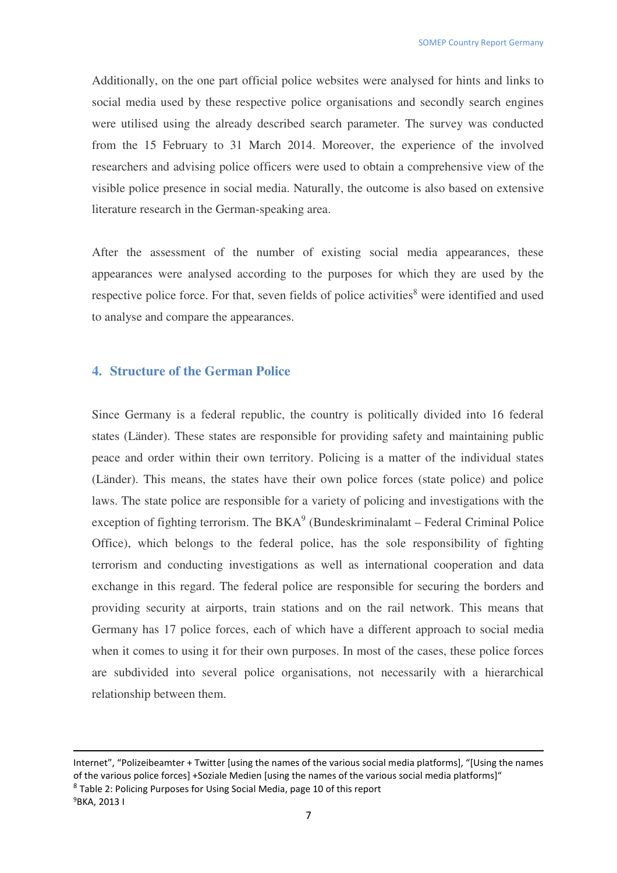Additionally, on the one part official police websites were analysed for hints and links to social media used by these respective police organisations and secondly search engines were utilised using the already described search parameter. The survey was conducted from the 15 February to 31 March 2014. Moreover, the experience of the involved researchers and advising police officers were used to obtain a comprehensive view of the visible police presence in social media. Naturally, the outcome is also based on extensive literature research in the German-speaking area.

After the assessment of the number of existing social media appearances, these appearances were analysed according to the purposes for which they are used by the respective police force. For that, seven fields of police activities<sup>8</sup> were identified and used to analyse and compare the appearances.

#### **4. Structure of the German Police**

<u>.</u>

Since Germany is a federal republic, the country is politically divided into 16 federal states (Länder). These states are responsible for providing safety and maintaining public peace and order within their own territory. Policing is a matter of the individual states (Länder). This means, the states have their own police forces (state police) and police laws. The state police are responsible for a variety of policing and investigations with the exception of fighting terrorism. The  $BKA<sup>9</sup>$  (Bundeskriminalamt – Federal Criminal Police Office), which belongs to the federal police, has the sole responsibility of fighting terrorism and conducting investigations as well as international cooperation and data exchange in this regard. The federal police are responsible for securing the borders and providing security at airports, train stations and on the rail network. This means that Germany has 17 police forces, each of which have a different approach to social media when it comes to using it for their own purposes. In most of the cases, these police forces are subdivided into several police organisations, not necessarily with a hierarchical relationship between them.

Internet", "Polizeibeamter + Twitter [using the names of the various social media platforms], "[Using the names of the various police forces] +Soziale Medien [using the names of the various social media platforms]" <sup>8</sup> Table 2: Policing Purposes for Using Social Media, page 10 of this report 9BKA, 2013 I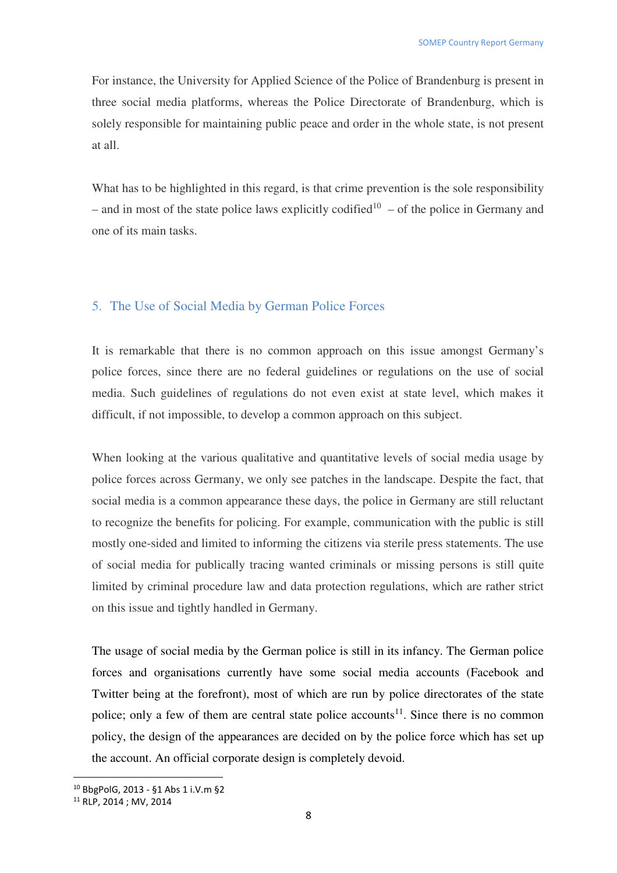For instance, the University for Applied Science of the Police of Brandenburg is present in three social media platforms, whereas the Police Directorate of Brandenburg, which is solely responsible for maintaining public peace and order in the whole state, is not present at all.

What has to be highlighted in this regard, is that crime prevention is the sole responsibility – and in most of the state police laws explicitly codified<sup>10</sup> – of the police in Germany and one of its main tasks.

#### 5. The Use of Social Media by German Police Forces

It is remarkable that there is no common approach on this issue amongst Germany's police forces, since there are no federal guidelines or regulations on the use of social media. Such guidelines of regulations do not even exist at state level, which makes it difficult, if not impossible, to develop a common approach on this subject.

When looking at the various qualitative and quantitative levels of social media usage by police forces across Germany, we only see patches in the landscape. Despite the fact, that social media is a common appearance these days, the police in Germany are still reluctant to recognize the benefits for policing. For example, communication with the public is still mostly one-sided and limited to informing the citizens via sterile press statements. The use of social media for publically tracing wanted criminals or missing persons is still quite limited by criminal procedure law and data protection regulations, which are rather strict on this issue and tightly handled in Germany.

The usage of social media by the German police is still in its infancy. The German police forces and organisations currently have some social media accounts (Facebook and Twitter being at the forefront), most of which are run by police directorates of the state police; only a few of them are central state police accounts<sup>11</sup>. Since there is no common policy, the design of the appearances are decided on by the police force which has set up the account. An official corporate design is completely devoid.

<sup>10</sup> BbgPolG, 2013 - §1 Abs 1 i.V.m §2

<sup>11</sup> RLP, 2014 ; MV, 2014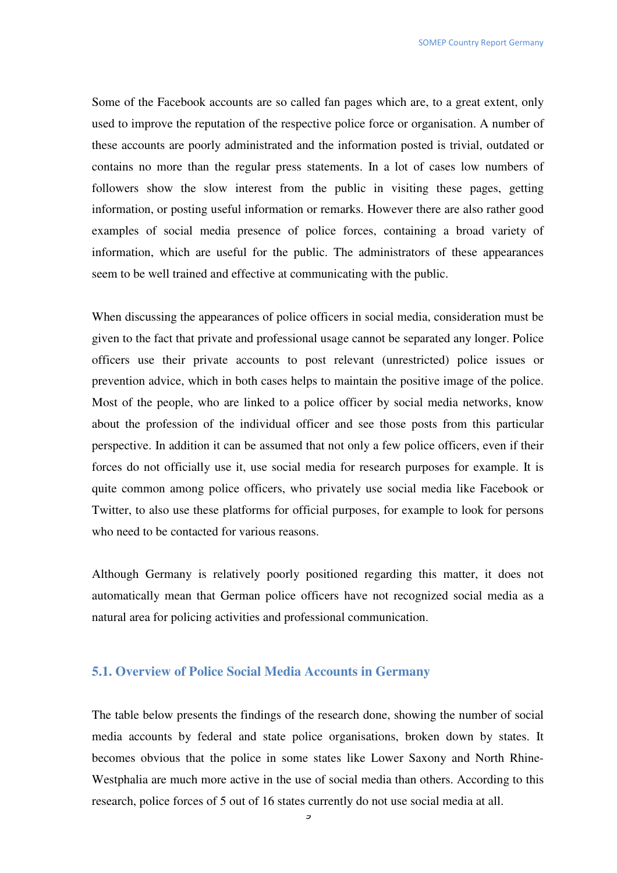Some of the Facebook accounts are so called fan pages which are, to a great extent, only used to improve the reputation of the respective police force or organisation. A number of these accounts are poorly administrated and the information posted is trivial, outdated or contains no more than the regular press statements. In a lot of cases low numbers of followers show the slow interest from the public in visiting these pages, getting information, or posting useful information or remarks. However there are also rather good examples of social media presence of police forces, containing a broad variety of information, which are useful for the public. The administrators of these appearances seem to be well trained and effective at communicating with the public.

When discussing the appearances of police officers in social media, consideration must be given to the fact that private and professional usage cannot be separated any longer. Police officers use their private accounts to post relevant (unrestricted) police issues or prevention advice, which in both cases helps to maintain the positive image of the police. Most of the people, who are linked to a police officer by social media networks, know about the profession of the individual officer and see those posts from this particular perspective. In addition it can be assumed that not only a few police officers, even if their forces do not officially use it, use social media for research purposes for example. It is quite common among police officers, who privately use social media like Facebook or Twitter, to also use these platforms for official purposes, for example to look for persons who need to be contacted for various reasons.

Although Germany is relatively poorly positioned regarding this matter, it does not automatically mean that German police officers have not recognized social media as a natural area for policing activities and professional communication.

#### **5.1. Overview of Police Social Media Accounts in Germany**

The table below presents the findings of the research done, showing the number of social media accounts by federal and state police organisations, broken down by states. It becomes obvious that the police in some states like Lower Saxony and North Rhine-Westphalia are much more active in the use of social media than others. According to this research, police forces of 5 out of 16 states currently do not use social media at all.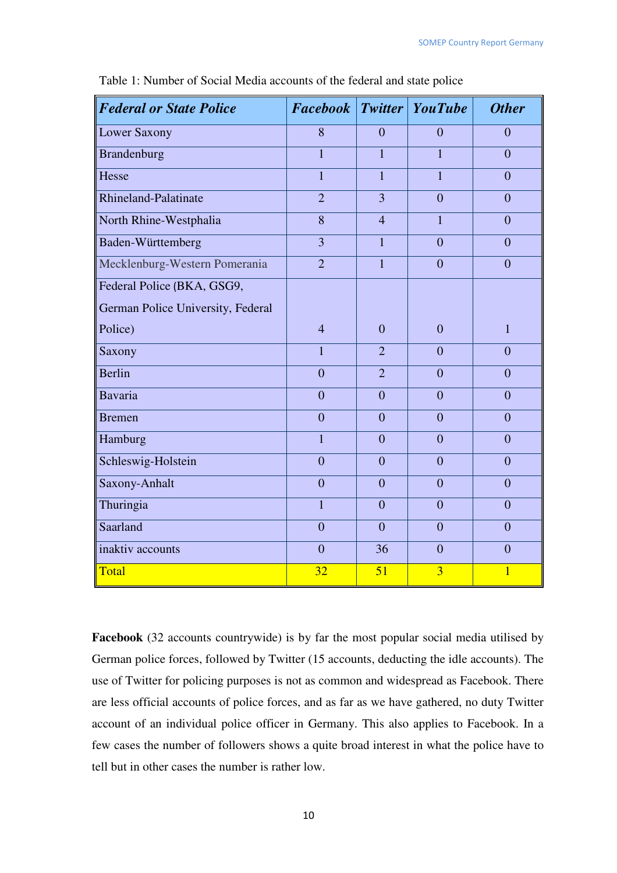| <b>Federal or State Police</b>    | <b>Facebook</b> Twitter YouTube |                |                | <b>Other</b>   |
|-----------------------------------|---------------------------------|----------------|----------------|----------------|
| Lower Saxony                      | 8                               | $\overline{0}$ | $\overline{0}$ | $\overline{0}$ |
| <b>Brandenburg</b>                | $\overline{1}$                  | $\overline{1}$ | $\overline{1}$ | $\overline{0}$ |
| Hesse                             | $\mathbf{1}$                    | $\overline{1}$ | $\mathbf{1}$   | $\overline{0}$ |
| <b>Rhineland-Palatinate</b>       | $\overline{2}$                  | 3              | $\overline{0}$ | $\overline{0}$ |
| North Rhine-Westphalia            | 8                               | $\overline{4}$ | 1              | $\overline{0}$ |
| Baden-Württemberg                 | $\overline{3}$                  | $\mathbf{1}$   | $\theta$       | $\overline{0}$ |
| Mecklenburg-Western Pomerania     | $\overline{2}$                  | $\mathbf{1}$   | $\overline{0}$ | $\overline{0}$ |
| Federal Police (BKA, GSG9,        |                                 |                |                |                |
| German Police University, Federal |                                 |                |                |                |
| Police)                           | $\overline{4}$                  | $\overline{0}$ | $\theta$       | $\mathbf{1}$   |
| Saxony                            | $\mathbf{1}$                    | $\overline{2}$ | $\theta$       | $\theta$       |
| <b>Berlin</b>                     | $\overline{0}$                  | $\overline{2}$ | $\overline{0}$ | $\overline{0}$ |
| <b>Bavaria</b>                    | $\overline{0}$                  | $\overline{0}$ | $\overline{0}$ | $\overline{0}$ |
| <b>Bremen</b>                     | $\overline{0}$                  | $\overline{0}$ | $\overline{0}$ | $\overline{0}$ |
| Hamburg                           | $\mathbf{1}$                    | $\overline{0}$ | $\overline{0}$ | $\overline{0}$ |
| Schleswig-Holstein                | $\overline{0}$                  | $\overline{0}$ | $\overline{0}$ | $\overline{0}$ |
| Saxony-Anhalt                     | $\overline{0}$                  | $\overline{0}$ | $\theta$       | $\overline{0}$ |
| Thuringia                         | $\mathbf{1}$                    | $\overline{0}$ | $\overline{0}$ | $\overline{0}$ |
| Saarland                          | $\overline{0}$                  | $\overline{0}$ | $\overline{0}$ | $\overline{0}$ |
| inaktiv accounts                  | $\overline{0}$                  | 36             | $\overline{0}$ | $\overline{0}$ |
| Total                             | 32                              | 51             | $\overline{3}$ | $\mathbf{1}$   |

Table 1: Number of Social Media accounts of the federal and state police

**Facebook** (32 accounts countrywide) is by far the most popular social media utilised by German police forces, followed by Twitter (15 accounts, deducting the idle accounts). The use of Twitter for policing purposes is not as common and widespread as Facebook. There are less official accounts of police forces, and as far as we have gathered, no duty Twitter account of an individual police officer in Germany. This also applies to Facebook. In a few cases the number of followers shows a quite broad interest in what the police have to tell but in other cases the number is rather low.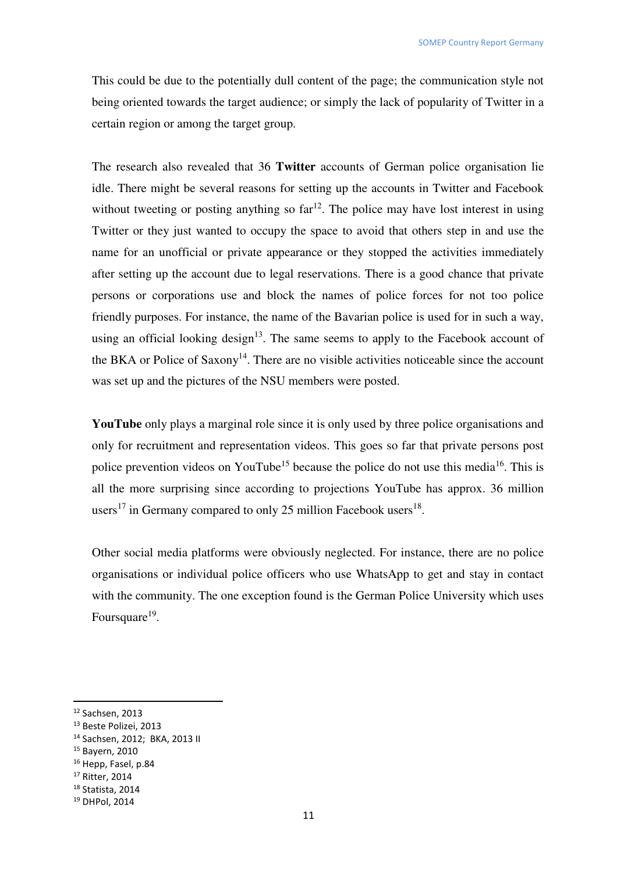This could be due to the potentially dull content of the page; the communication style not being oriented towards the target audience; or simply the lack of popularity of Twitter in a certain region or among the target group.

The research also revealed that 36 **Twitter** accounts of German police organisation lie idle. There might be several reasons for setting up the accounts in Twitter and Facebook without tweeting or posting anything so  $far<sup>12</sup>$ . The police may have lost interest in using Twitter or they just wanted to occupy the space to avoid that others step in and use the name for an unofficial or private appearance or they stopped the activities immediately after setting up the account due to legal reservations. There is a good chance that private persons or corporations use and block the names of police forces for not too police friendly purposes. For instance, the name of the Bavarian police is used for in such a way, using an official looking design $13$ . The same seems to apply to the Facebook account of the BKA or Police of Saxony<sup>14</sup>. There are no visible activities noticeable since the account was set up and the pictures of the NSU members were posted.

**YouTube** only plays a marginal role since it is only used by three police organisations and only for recruitment and representation videos. This goes so far that private persons post police prevention videos on YouTube<sup>15</sup> because the police do not use this media<sup>16</sup>. This is all the more surprising since according to projections YouTube has approx. 36 million users<sup>17</sup> in Germany compared to only 25 million Facebook users<sup>18</sup>.

Other social media platforms were obviously neglected. For instance, there are no police organisations or individual police officers who use WhatsApp to get and stay in contact with the community. The one exception found is the German Police University which uses Foursquare<sup>19</sup>.

l

<sup>17</sup> Ritter, 2014

<sup>&</sup>lt;sup>12</sup> Sachsen, 2013

<sup>13</sup> Beste Polizei, 2013

<sup>14</sup> Sachsen, 2012; BKA, 2013 II

<sup>15</sup> Bayern, 2010

<sup>&</sup>lt;sup>16</sup> Hepp, Fasel, p.84

<sup>18</sup> Statista, 2014

<sup>19</sup> DHPol, 2014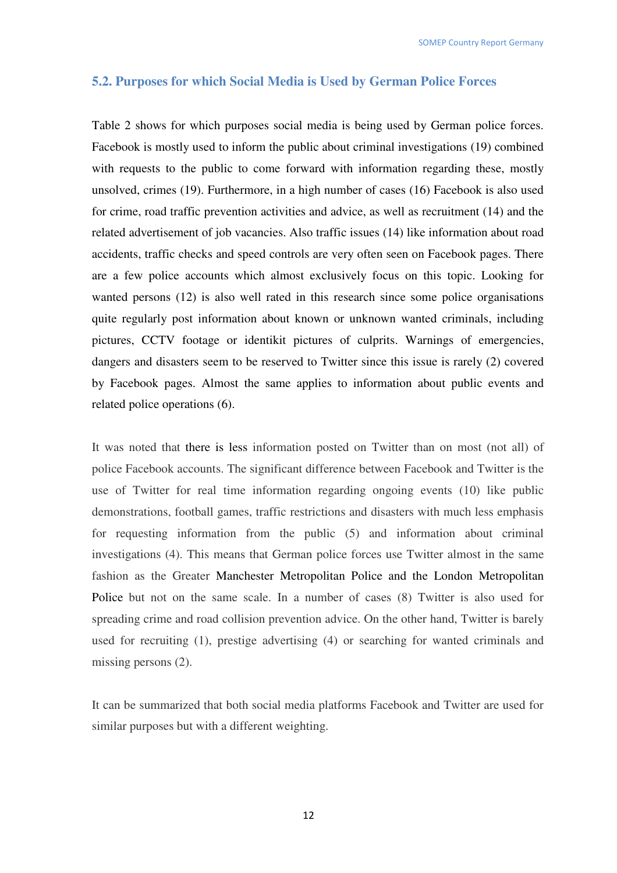#### **5.2. Purposes for which Social Media is Used by German Police Forces**

Table 2 shows for which purposes social media is being used by German police forces. Facebook is mostly used to inform the public about criminal investigations (19) combined with requests to the public to come forward with information regarding these, mostly unsolved, crimes (19). Furthermore, in a high number of cases (16) Facebook is also used for crime, road traffic prevention activities and advice, as well as recruitment (14) and the related advertisement of job vacancies. Also traffic issues (14) like information about road accidents, traffic checks and speed controls are very often seen on Facebook pages. There are a few police accounts which almost exclusively focus on this topic. Looking for wanted persons (12) is also well rated in this research since some police organisations quite regularly post information about known or unknown wanted criminals, including pictures, CCTV footage or identikit pictures of culprits. Warnings of emergencies, dangers and disasters seem to be reserved to Twitter since this issue is rarely (2) covered by Facebook pages. Almost the same applies to information about public events and related police operations (6).

It was noted that there is less information posted on Twitter than on most (not all) of police Facebook accounts. The significant difference between Facebook and Twitter is the use of Twitter for real time information regarding ongoing events (10) like public demonstrations, football games, traffic restrictions and disasters with much less emphasis for requesting information from the public (5) and information about criminal investigations (4). This means that German police forces use Twitter almost in the same fashion as the Greater Manchester Metropolitan Police and the London Metropolitan Police but not on the same scale. In a number of cases (8) Twitter is also used for spreading crime and road collision prevention advice. On the other hand, Twitter is barely used for recruiting (1), prestige advertising (4) or searching for wanted criminals and missing persons (2).

It can be summarized that both social media platforms Facebook and Twitter are used for similar purposes but with a different weighting.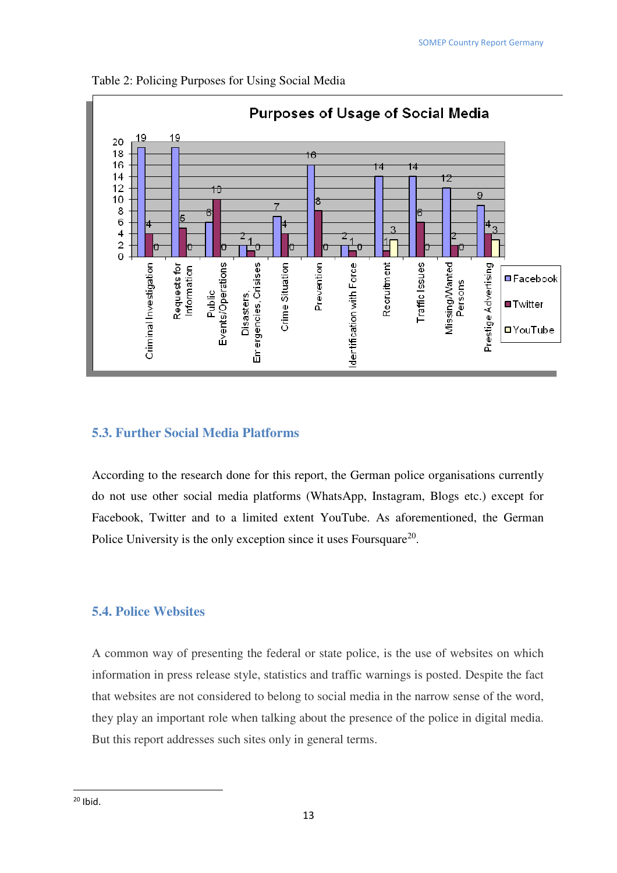

Table 2: Policing Purposes for Using Social Media

#### **5.3. Further Social Media Platforms**

According to the research done for this report, the German police organisations currently do not use other social media platforms (WhatsApp, Instagram, Blogs etc.) except for Facebook, Twitter and to a limited extent YouTube. As aforementioned, the German Police University is the only exception since it uses Foursquare<sup>20</sup>.

## **5.4. Police Websites**

A common way of presenting the federal or state police, is the use of websites on which information in press release style, statistics and traffic warnings is posted. Despite the fact that websites are not considered to belong to social media in the narrow sense of the word, they play an important role when talking about the presence of the police in digital media. But this report addresses such sites only in general terms.

 $20$  Ibid.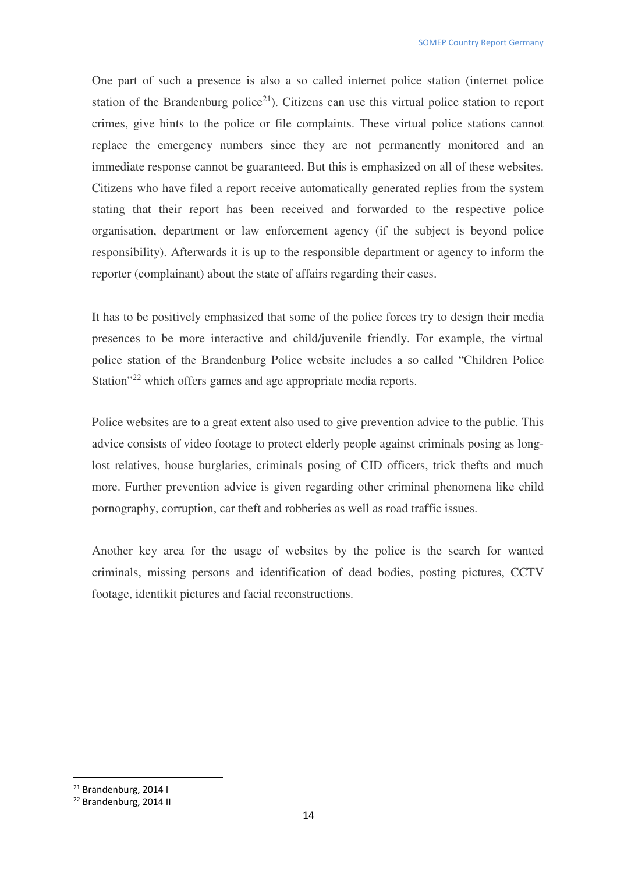One part of such a presence is also a so called internet police station (internet police station of the Brandenburg police<sup>21</sup>). Citizens can use this virtual police station to report crimes, give hints to the police or file complaints. These virtual police stations cannot replace the emergency numbers since they are not permanently monitored and an immediate response cannot be guaranteed. But this is emphasized on all of these websites. Citizens who have filed a report receive automatically generated replies from the system stating that their report has been received and forwarded to the respective police organisation, department or law enforcement agency (if the subject is beyond police responsibility). Afterwards it is up to the responsible department or agency to inform the reporter (complainant) about the state of affairs regarding their cases.

It has to be positively emphasized that some of the police forces try to design their media presences to be more interactive and child/juvenile friendly. For example, the virtual police station of the Brandenburg Police website includes a so called "Children Police Station<sup>"22</sup> which offers games and age appropriate media reports.

Police websites are to a great extent also used to give prevention advice to the public. This advice consists of video footage to protect elderly people against criminals posing as longlost relatives, house burglaries, criminals posing of CID officers, trick thefts and much more. Further prevention advice is given regarding other criminal phenomena like child pornography, corruption, car theft and robberies as well as road traffic issues.

Another key area for the usage of websites by the police is the search for wanted criminals, missing persons and identification of dead bodies, posting pictures, CCTV footage, identikit pictures and facial reconstructions.

<sup>21</sup> Brandenburg, 2014 I

<sup>22</sup> Brandenburg, 2014 II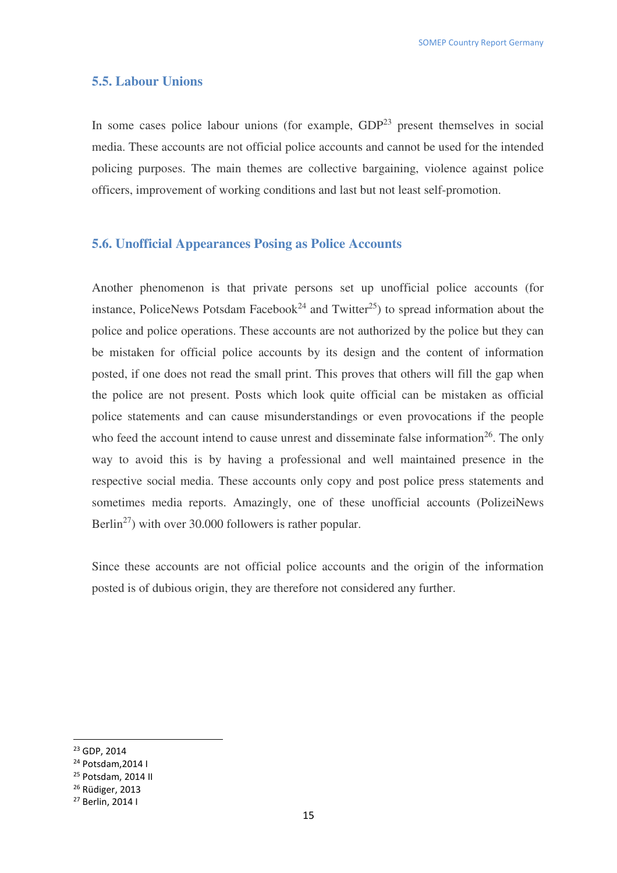#### **5.5. Labour Unions**

In some cases police labour unions (for example,  $GDP<sup>23</sup>$  present themselves in social media. These accounts are not official police accounts and cannot be used for the intended policing purposes. The main themes are collective bargaining, violence against police officers, improvement of working conditions and last but not least self-promotion.

#### **5.6. Unofficial Appearances Posing as Police Accounts**

Another phenomenon is that private persons set up unofficial police accounts (for instance, PoliceNews Potsdam Facebook<sup>24</sup> and Twitter<sup>25</sup>) to spread information about the police and police operations. These accounts are not authorized by the police but they can be mistaken for official police accounts by its design and the content of information posted, if one does not read the small print. This proves that others will fill the gap when the police are not present. Posts which look quite official can be mistaken as official police statements and can cause misunderstandings or even provocations if the people who feed the account intend to cause unrest and disseminate false information<sup>26</sup>. The only way to avoid this is by having a professional and well maintained presence in the respective social media. These accounts only copy and post police press statements and sometimes media reports. Amazingly, one of these unofficial accounts (PolizeiNews Berlin<sup>27</sup>) with over 30.000 followers is rather popular.

Since these accounts are not official police accounts and the origin of the information posted is of dubious origin, they are therefore not considered any further.

<sup>23</sup> GDP, 2014

<sup>24</sup> Potsdam,2014 I

<sup>25</sup> Potsdam, 2014 II

<sup>26</sup> Rüdiger, 2013

<sup>27</sup> Berlin, 2014 I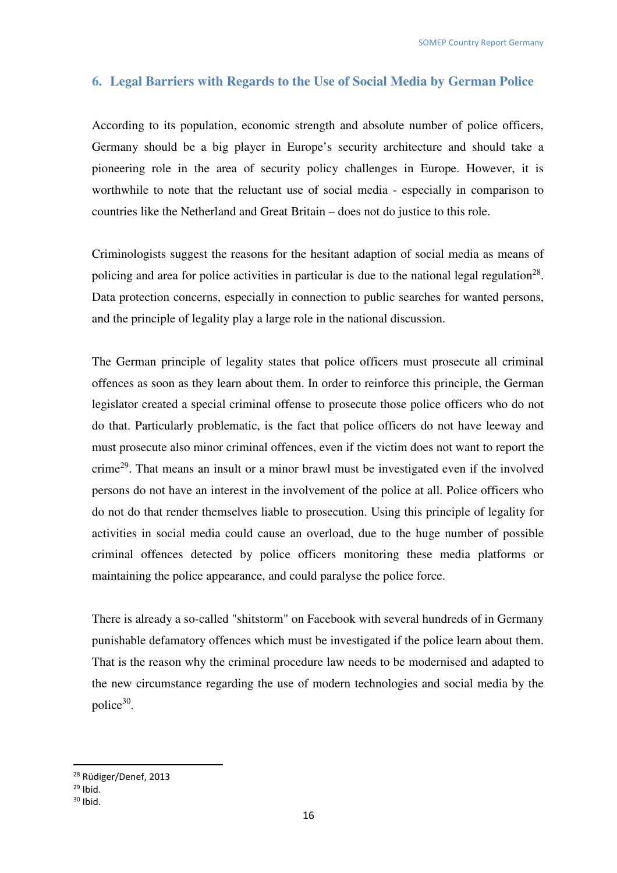### **6. Legal Barriers with Regards to the Use of Social Media by German Police**

According to its population, economic strength and absolute number of police officers, Germany should be a big player in Europe's security architecture and should take a pioneering role in the area of security policy challenges in Europe. However, it is worthwhile to note that the reluctant use of social media - especially in comparison to countries like the Netherland and Great Britain – does not do justice to this role.

Criminologists suggest the reasons for the hesitant adaption of social media as means of policing and area for police activities in particular is due to the national legal regulation<sup>28</sup>. Data protection concerns, especially in connection to public searches for wanted persons, and the principle of legality play a large role in the national discussion.

The German principle of legality states that police officers must prosecute all criminal offences as soon as they learn about them. In order to reinforce this principle, the German legislator created a special criminal offense to prosecute those police officers who do not do that. Particularly problematic, is the fact that police officers do not have leeway and must prosecute also minor criminal offences, even if the victim does not want to report the crime<sup>29</sup>. That means an insult or a minor brawl must be investigated even if the involved persons do not have an interest in the involvement of the police at all. Police officers who do not do that render themselves liable to prosecution. Using this principle of legality for activities in social media could cause an overload, due to the huge number of possible criminal offences detected by police officers monitoring these media platforms or maintaining the police appearance, and could paralyse the police force.

There is already a so-called "shitstorm" on Facebook with several hundreds of in Germany punishable defamatory offences which must be investigated if the police learn about them. That is the reason why the criminal procedure law needs to be modernised and adapted to the new circumstance regarding the use of modern technologies and social media by the police<sup>30</sup>.

<sup>28</sup> Rüdiger/Denef, 2013

 $29$  Ibid.

 $30$  Ibid.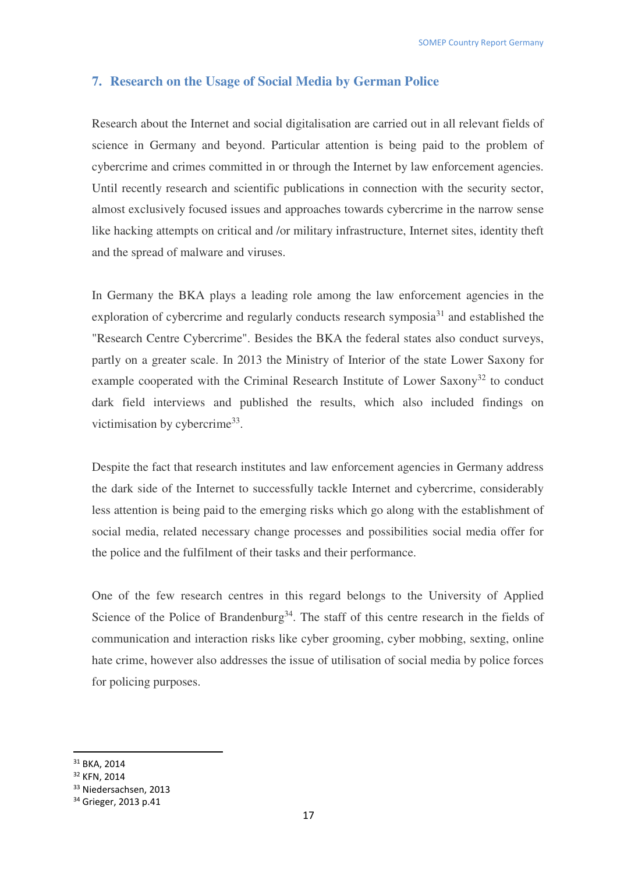## **7. Research on the Usage of Social Media by German Police**

Research about the Internet and social digitalisation are carried out in all relevant fields of science in Germany and beyond. Particular attention is being paid to the problem of cybercrime and crimes committed in or through the Internet by law enforcement agencies. Until recently research and scientific publications in connection with the security sector, almost exclusively focused issues and approaches towards cybercrime in the narrow sense like hacking attempts on critical and /or military infrastructure, Internet sites, identity theft and the spread of malware and viruses.

In Germany the BKA plays a leading role among the law enforcement agencies in the exploration of cybercrime and regularly conducts research symposia<sup>31</sup> and established the "Research Centre Cybercrime". Besides the BKA the federal states also conduct surveys, partly on a greater scale. In 2013 the Ministry of Interior of the state Lower Saxony for example cooperated with the Criminal Research Institute of Lower Saxony<sup>32</sup> to conduct dark field interviews and published the results, which also included findings on victimisation by cybercrime<sup>33</sup>.

Despite the fact that research institutes and law enforcement agencies in Germany address the dark side of the Internet to successfully tackle Internet and cybercrime, considerably less attention is being paid to the emerging risks which go along with the establishment of social media, related necessary change processes and possibilities social media offer for the police and the fulfilment of their tasks and their performance.

One of the few research centres in this regard belongs to the University of Applied Science of the Police of Brandenburg<sup>34</sup>. The staff of this centre research in the fields of communication and interaction risks like cyber grooming, cyber mobbing, sexting, online hate crime, however also addresses the issue of utilisation of social media by police forces for policing purposes.

<sup>31</sup> BKA, 2014

<sup>32</sup> KFN, 2014

<sup>&</sup>lt;sup>33</sup> Niedersachsen, 2013

<sup>34</sup> Grieger, 2013 p.41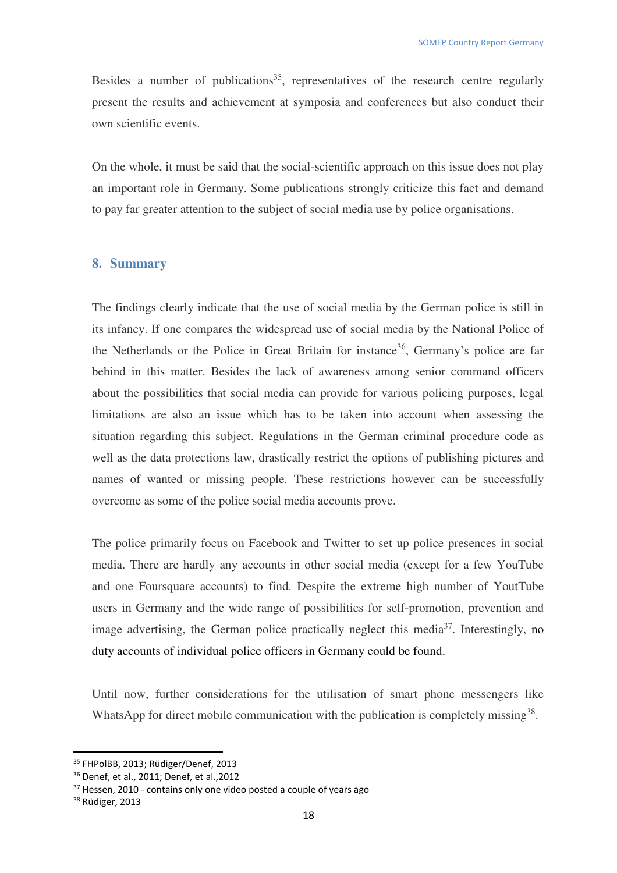Besides a number of publications<sup>35</sup>, representatives of the research centre regularly present the results and achievement at symposia and conferences but also conduct their own scientific events.

On the whole, it must be said that the social-scientific approach on this issue does not play an important role in Germany. Some publications strongly criticize this fact and demand to pay far greater attention to the subject of social media use by police organisations.

#### **8. Summary**

The findings clearly indicate that the use of social media by the German police is still in its infancy. If one compares the widespread use of social media by the National Police of the Netherlands or the Police in Great Britain for instance<sup>36</sup>, Germany's police are far behind in this matter. Besides the lack of awareness among senior command officers about the possibilities that social media can provide for various policing purposes, legal limitations are also an issue which has to be taken into account when assessing the situation regarding this subject. Regulations in the German criminal procedure code as well as the data protections law, drastically restrict the options of publishing pictures and names of wanted or missing people. These restrictions however can be successfully overcome as some of the police social media accounts prove.

The police primarily focus on Facebook and Twitter to set up police presences in social media. There are hardly any accounts in other social media (except for a few YouTube and one Foursquare accounts) to find. Despite the extreme high number of YoutTube users in Germany and the wide range of possibilities for self-promotion, prevention and image advertising, the German police practically neglect this media<sup>37</sup>. Interestingly, no duty accounts of individual police officers in Germany could be found.

Until now, further considerations for the utilisation of smart phone messengers like WhatsApp for direct mobile communication with the publication is completely missing<sup>38</sup>.

<sup>&</sup>lt;sup>35</sup> FHPolBB, 2013; Rüdiger/Denef, 2013

<sup>36</sup> Denef, et al., 2011; Denef, et al.,2012

 $37$  Hessen, 2010 - contains only one video posted a couple of years ago

<sup>38</sup> Rüdiger, 2013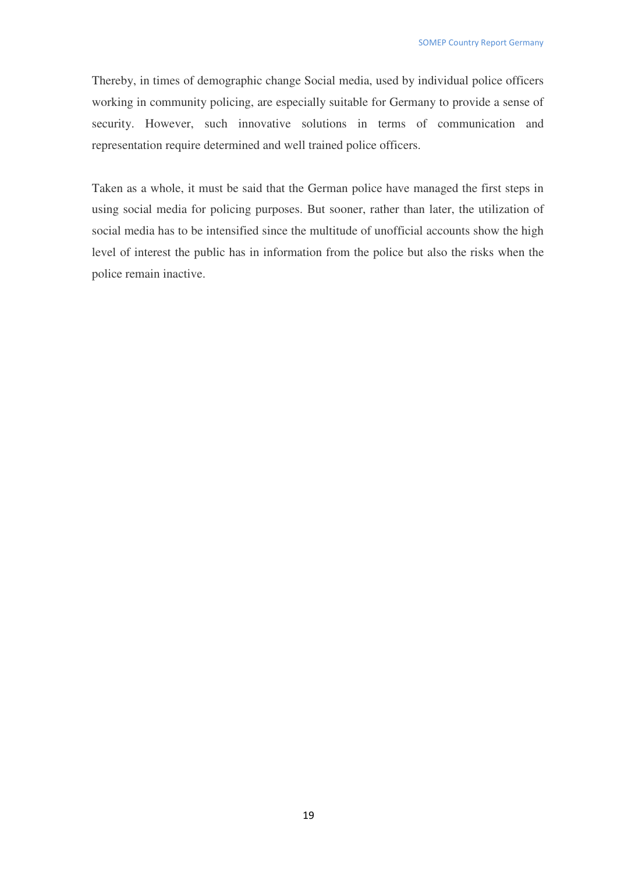Thereby, in times of demographic change Social media, used by individual police officers working in community policing, are especially suitable for Germany to provide a sense of security. However, such innovative solutions in terms of communication and representation require determined and well trained police officers.

Taken as a whole, it must be said that the German police have managed the first steps in using social media for policing purposes. But sooner, rather than later, the utilization of social media has to be intensified since the multitude of unofficial accounts show the high level of interest the public has in information from the police but also the risks when the police remain inactive.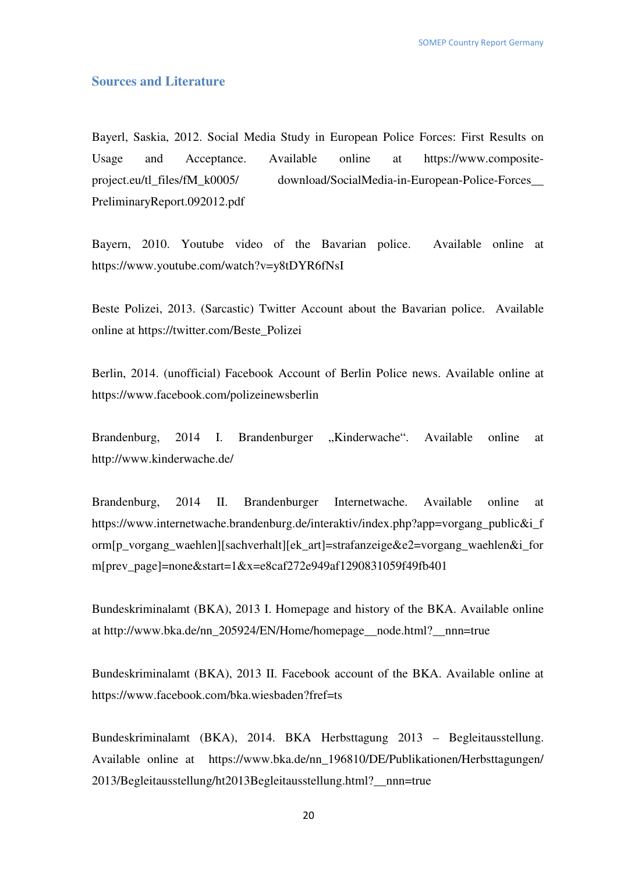#### **Sources and Literature**

Bayerl, Saskia, 2012. Social Media Study in European Police Forces: First Results on Usage and Acceptance. Available online at https://www.compositeproject.eu/tl\_files/fM\_k0005/ download/SocialMedia-in-European-Police-Forces\_\_ PreliminaryReport.092012.pdf

Bayern, 2010. Youtube video of the Bavarian police. Available online at https://www.youtube.com/watch?v=y8tDYR6fNsI

Beste Polizei, 2013. (Sarcastic) Twitter Account about the Bavarian police. Available online at https://twitter.com/Beste\_Polizei

Berlin, 2014. (unofficial) Facebook Account of Berlin Police news. Available online at https://www.facebook.com/polizeinewsberlin

Brandenburg, 2014 I. Brandenburger "Kinderwache". Available online at http://www.kinderwache.de/

Brandenburg, 2014 II. Brandenburger Internetwache. Available online at https://www.internetwache.brandenburg.de/interaktiv/index.php?app=vorgang\_public&i\_f orm[p\_vorgang\_waehlen][sachverhalt][ek\_art]=strafanzeige&e2=vorgang\_waehlen&i\_for m[prev\_page]=none&start=1&x=e8caf272e949af1290831059f49fb401

Bundeskriminalamt (BKA), 2013 I. Homepage and history of the BKA. Available online at http://www.bka.de/nn\_205924/EN/Home/homepage\_\_node.html?\_\_nnn=true

Bundeskriminalamt (BKA), 2013 II. Facebook account of the BKA. Available online at https://www.facebook.com/bka.wiesbaden?fref=ts

Bundeskriminalamt (BKA), 2014. BKA Herbsttagung 2013 – Begleitausstellung. Available online at https://www.bka.de/nn\_196810/DE/Publikationen/Herbsttagungen/ 2013/Begleitausstellung/ht2013Begleitausstellung.html?\_\_nnn=true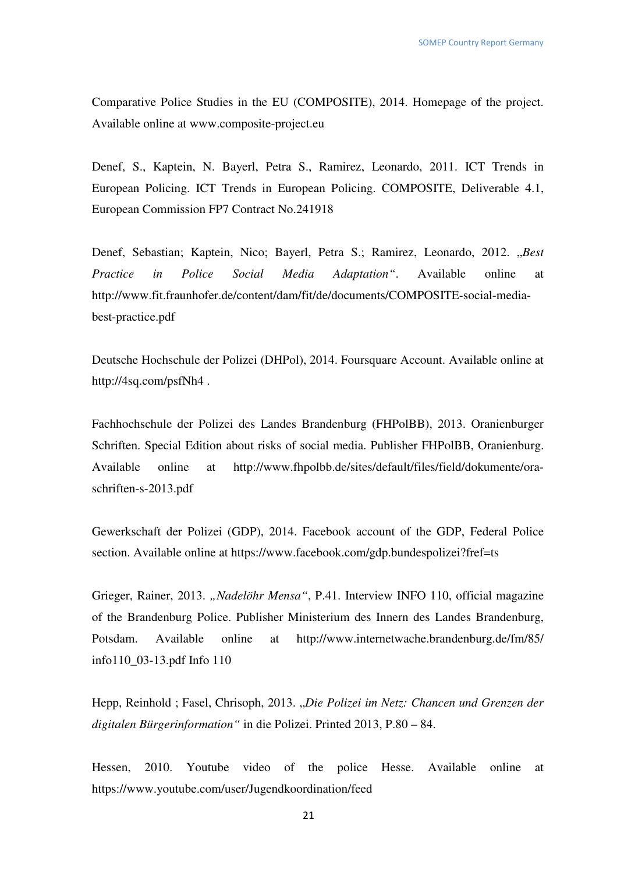Comparative Police Studies in the EU (COMPOSITE), 2014. Homepage of the project. Available online at www.composite-project.eu

Denef, S., Kaptein, N. Bayerl, Petra S., Ramirez, Leonardo, 2011. ICT Trends in European Policing. ICT Trends in European Policing. COMPOSITE, Deliverable 4.1, European Commission FP7 Contract No.241918

Denef, Sebastian; Kaptein, Nico; Bayerl, Petra S.; Ramirez, Leonardo, 2012. "*Best Practice in Police Social Media Adaptation"*. Available online at http://www.fit.fraunhofer.de/content/dam/fit/de/documents/COMPOSITE-social-mediabest-practice.pdf

Deutsche Hochschule der Polizei (DHPol), 2014. Foursquare Account. Available online at http://4sq.com/psfNh4 .

Fachhochschule der Polizei des Landes Brandenburg (FHPolBB), 2013. Oranienburger Schriften. Special Edition about risks of social media. Publisher FHPolBB, Oranienburg. Available online at http://www.fhpolbb.de/sites/default/files/field/dokumente/oraschriften-s-2013.pdf

Gewerkschaft der Polizei (GDP), 2014. Facebook account of the GDP, Federal Police section. Available online at https://www.facebook.com/gdp.bundespolizei?fref=ts

Grieger, Rainer, 2013. "Nadelöhr Mensa", P.41. Interview INFO 110, official magazine of the Brandenburg Police. Publisher Ministerium des Innern des Landes Brandenburg, Potsdam. Available online at http://www.internetwache.brandenburg.de/fm/85/ info110\_03-13.pdf Info 110

Hepp, Reinhold ; Fasel, Chrisoph, 2013. "Die Polizei im Netz: Chancen und Grenzen der *digitalen Bürgerinformation"* in die Polizei. Printed 2013, P.80 – 84.

Hessen, 2010. Youtube video of the police Hesse. Available online at https://www.youtube.com/user/Jugendkoordination/feed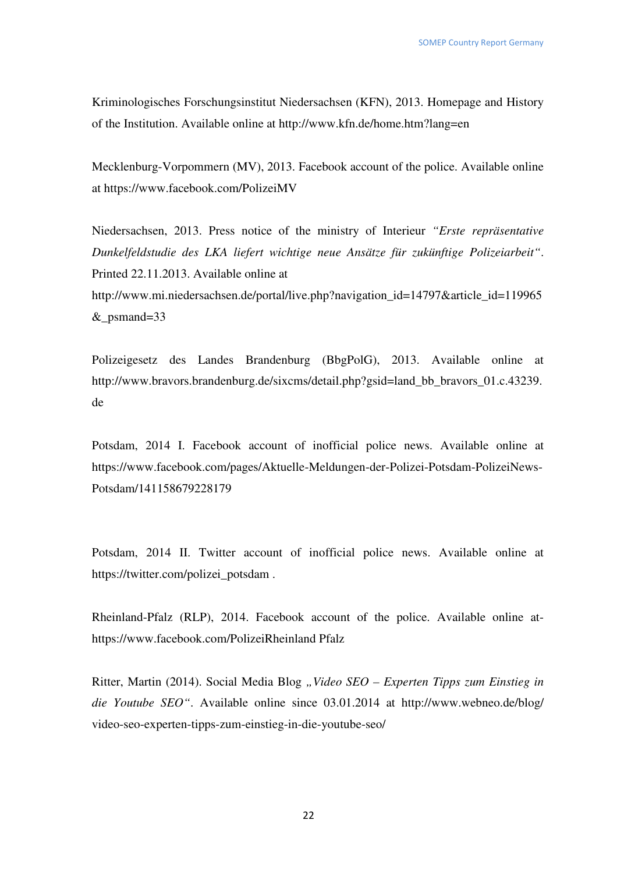Kriminologisches Forschungsinstitut Niedersachsen (KFN), 2013. Homepage and History of the Institution. Available online at http://www.kfn.de/home.htm?lang=en

Mecklenburg-Vorpommern (MV), 2013. Facebook account of the police. Available online at https://www.facebook.com/PolizeiMV

Niedersachsen, 2013. Press notice of the ministry of Interieur *"Erste repräsentative Dunkelfeldstudie des LKA liefert wichtige neue Ansätze für zukünftige Polizeiarbeit"*. Printed 22.11.2013. Available online at http://www.mi.niedersachsen.de/portal/live.php?navigation\_id=14797&article\_id=119965 &\_psmand=33

Polizeigesetz des Landes Brandenburg (BbgPolG), 2013. Available online at http://www.bravors.brandenburg.de/sixcms/detail.php?gsid=land\_bb\_bravors\_01.c.43239. de

Potsdam, 2014 I. Facebook account of inofficial police news. Available online at https://www.facebook.com/pages/Aktuelle-Meldungen-der-Polizei-Potsdam-PolizeiNews-Potsdam/141158679228179

Potsdam, 2014 II. Twitter account of inofficial police news. Available online at https://twitter.com/polizei\_potsdam .

Rheinland-Pfalz (RLP), 2014. Facebook account of the police. Available online athttps://www.facebook.com/PolizeiRheinland Pfalz

Ritter, Martin (2014). Social Media Blog "Video SEO – Experten Tipps zum Einstieg in *die Youtube SEO"*. Available online since 03.01.2014 at http://www.webneo.de/blog/ video-seo-experten-tipps-zum-einstieg-in-die-youtube-seo/

22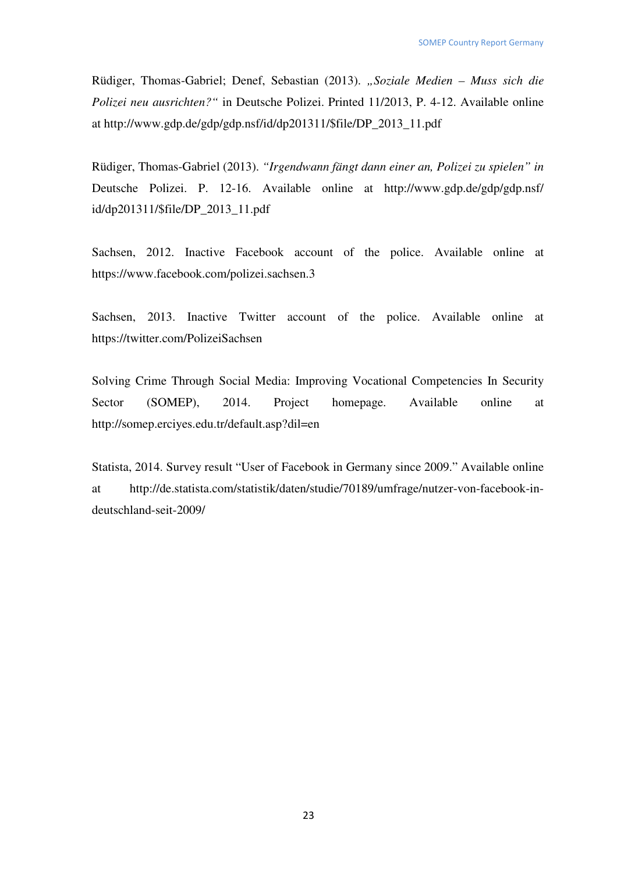Rüdiger, Thomas-Gabriel; Denef, Sebastian (2013). *"Soziale Medien – Muss sich die Polizei neu ausrichten?"* in Deutsche Polizei. Printed 11/2013, P. 4-12. Available online at http://www.gdp.de/gdp/gdp.nsf/id/dp201311/\$file/DP\_2013\_11.pdf

Rüdiger, Thomas-Gabriel (2013). *"Irgendwann fängt dann einer an, Polizei zu spielen" in*  Deutsche Polizei. P. 12-16. Available online at http://www.gdp.de/gdp/gdp.nsf/ id/dp201311/\$file/DP\_2013\_11.pdf

Sachsen, 2012. Inactive Facebook account of the police. Available online at https://www.facebook.com/polizei.sachsen.3

Sachsen, 2013. Inactive Twitter account of the police. Available online at https://twitter.com/PolizeiSachsen

Solving Crime Through Social Media: Improving Vocational Competencies In Security Sector (SOMEP), 2014. Project homepage. Available online at http://somep.erciyes.edu.tr/default.asp?dil=en

Statista, 2014. Survey result "User of Facebook in Germany since 2009." Available online at http://de.statista.com/statistik/daten/studie/70189/umfrage/nutzer-von-facebook-indeutschland-seit-2009/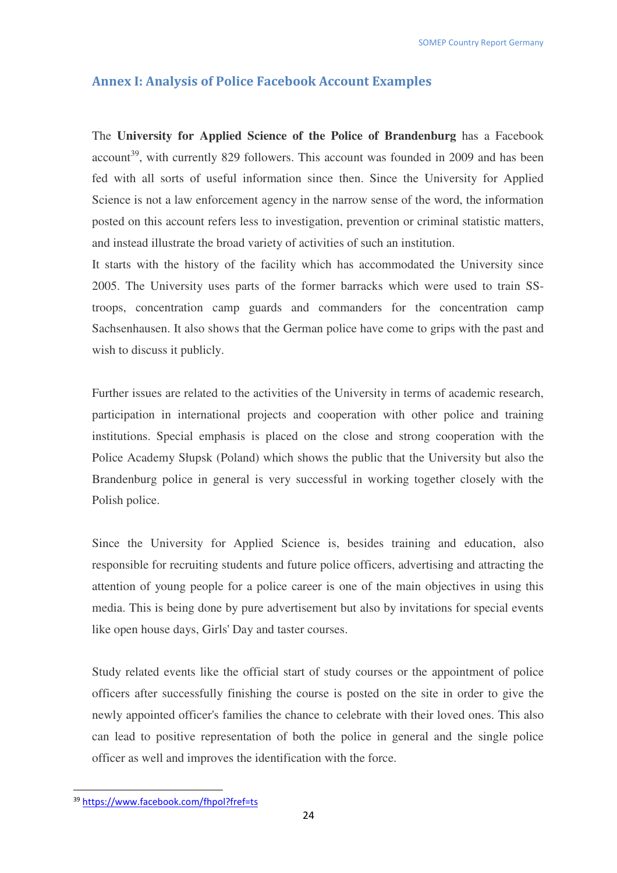## **Annex I: Analysis of Police Facebook Account Examples**

The **University for Applied Science of the Police of Brandenburg** has a Facebook account<sup>39</sup>, with currently 829 followers. This account was founded in 2009 and has been fed with all sorts of useful information since then. Since the University for Applied Science is not a law enforcement agency in the narrow sense of the word, the information posted on this account refers less to investigation, prevention or criminal statistic matters, and instead illustrate the broad variety of activities of such an institution.

It starts with the history of the facility which has accommodated the University since 2005. The University uses parts of the former barracks which were used to train SStroops, concentration camp guards and commanders for the concentration camp Sachsenhausen. It also shows that the German police have come to grips with the past and wish to discuss it publicly.

Further issues are related to the activities of the University in terms of academic research, participation in international projects and cooperation with other police and training institutions. Special emphasis is placed on the close and strong cooperation with the Police Academy Słupsk (Poland) which shows the public that the University but also the Brandenburg police in general is very successful in working together closely with the Polish police.

Since the University for Applied Science is, besides training and education, also responsible for recruiting students and future police officers, advertising and attracting the attention of young people for a police career is one of the main objectives in using this media. This is being done by pure advertisement but also by invitations for special events like open house days, Girls' Day and taster courses.

Study related events like the official start of study courses or the appointment of police officers after successfully finishing the course is posted on the site in order to give the newly appointed officer's families the chance to celebrate with their loved ones. This also can lead to positive representation of both the police in general and the single police officer as well and improves the identification with the force.

<sup>39</sup> https://www.facebook.com/fhpol?fref=ts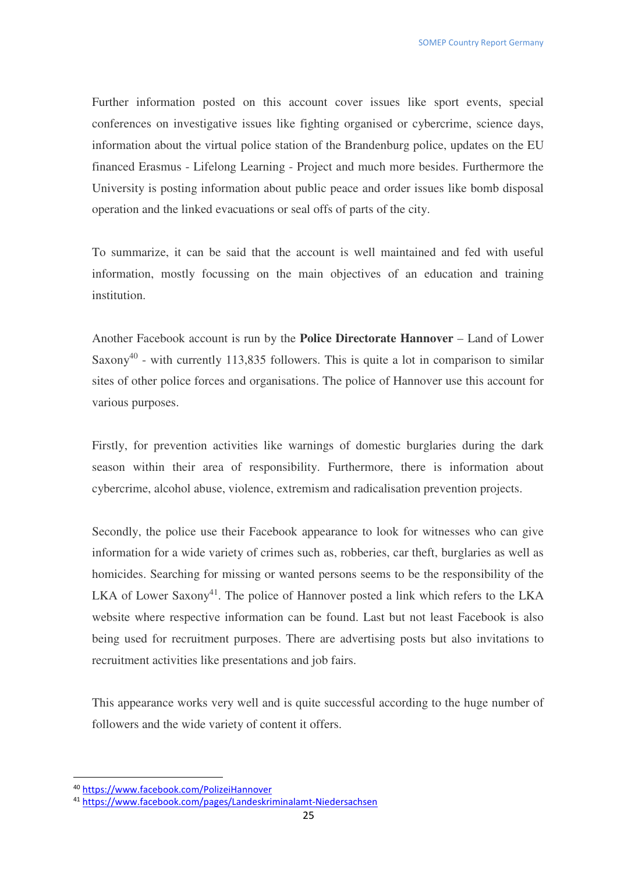Further information posted on this account cover issues like sport events, special conferences on investigative issues like fighting organised or cybercrime, science days, information about the virtual police station of the Brandenburg police, updates on the EU financed Erasmus - Lifelong Learning - Project and much more besides. Furthermore the University is posting information about public peace and order issues like bomb disposal operation and the linked evacuations or seal offs of parts of the city.

To summarize, it can be said that the account is well maintained and fed with useful information, mostly focussing on the main objectives of an education and training institution.

Another Facebook account is run by the **Police Directorate Hannover** – Land of Lower Saxony<sup>40</sup> - with currently 113,835 followers. This is quite a lot in comparison to similar sites of other police forces and organisations. The police of Hannover use this account for various purposes.

Firstly, for prevention activities like warnings of domestic burglaries during the dark season within their area of responsibility. Furthermore, there is information about cybercrime, alcohol abuse, violence, extremism and radicalisation prevention projects.

Secondly, the police use their Facebook appearance to look for witnesses who can give information for a wide variety of crimes such as, robberies, car theft, burglaries as well as homicides. Searching for missing or wanted persons seems to be the responsibility of the LKA of Lower Saxony<sup>41</sup>. The police of Hannover posted a link which refers to the LKA website where respective information can be found. Last but not least Facebook is also being used for recruitment purposes. There are advertising posts but also invitations to recruitment activities like presentations and job fairs.

This appearance works very well and is quite successful according to the huge number of followers and the wide variety of content it offers.

<sup>40</sup> https://www.facebook.com/PolizeiHannover

<sup>41</sup> https://www.facebook.com/pages/Landeskriminalamt-Niedersachsen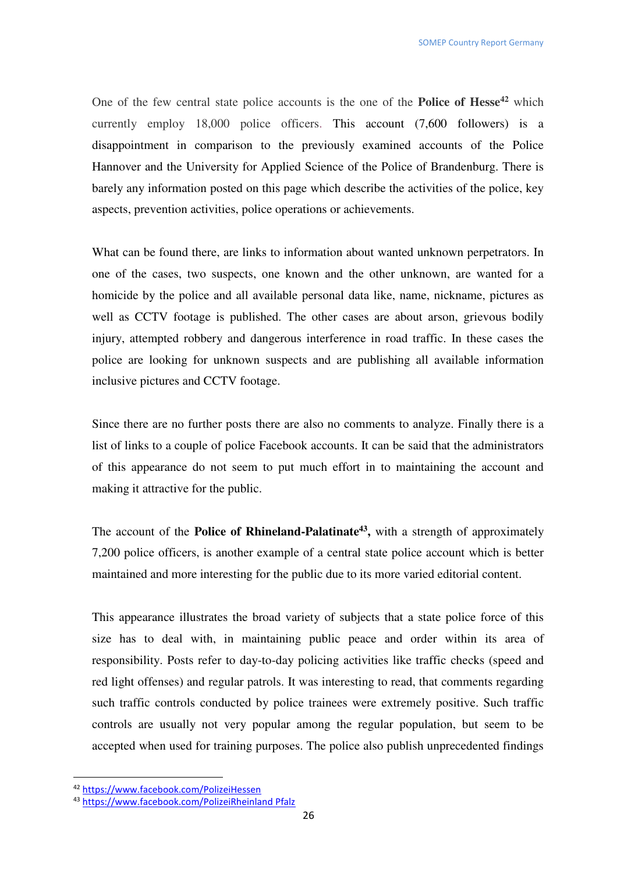One of the few central state police accounts is the one of the **Police of Hesse<sup>42</sup>** which currently employ 18,000 police officers. This account (7,600 followers) is a disappointment in comparison to the previously examined accounts of the Police Hannover and the University for Applied Science of the Police of Brandenburg. There is barely any information posted on this page which describe the activities of the police, key aspects, prevention activities, police operations or achievements.

What can be found there, are links to information about wanted unknown perpetrators. In one of the cases, two suspects, one known and the other unknown, are wanted for a homicide by the police and all available personal data like, name, nickname, pictures as well as CCTV footage is published. The other cases are about arson, grievous bodily injury, attempted robbery and dangerous interference in road traffic. In these cases the police are looking for unknown suspects and are publishing all available information inclusive pictures and CCTV footage.

Since there are no further posts there are also no comments to analyze. Finally there is a list of links to a couple of police Facebook accounts. It can be said that the administrators of this appearance do not seem to put much effort in to maintaining the account and making it attractive for the public.

The account of the **Police of Rhineland-Palatinate<sup>43</sup> ,** with a strength of approximately 7,200 police officers, is another example of a central state police account which is better maintained and more interesting for the public due to its more varied editorial content.

This appearance illustrates the broad variety of subjects that a state police force of this size has to deal with, in maintaining public peace and order within its area of responsibility. Posts refer to day-to-day policing activities like traffic checks (speed and red light offenses) and regular patrols. It was interesting to read, that comments regarding such traffic controls conducted by police trainees were extremely positive. Such traffic controls are usually not very popular among the regular population, but seem to be accepted when used for training purposes. The police also publish unprecedented findings

<sup>42</sup> https://www.facebook.com/PolizeiHessen

<sup>43</sup> https://www.facebook.com/PolizeiRheinland Pfalz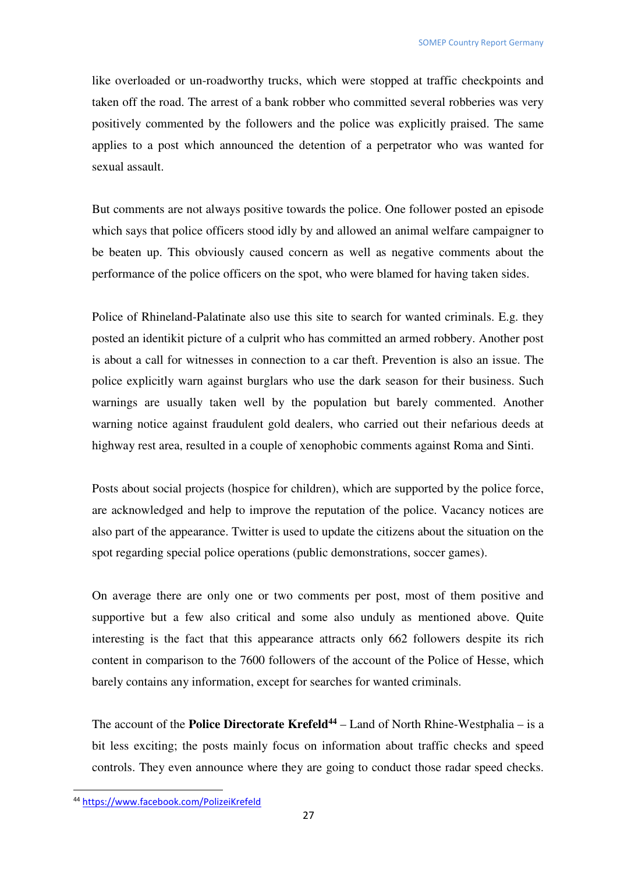like overloaded or un-roadworthy trucks, which were stopped at traffic checkpoints and taken off the road. The arrest of a bank robber who committed several robberies was very positively commented by the followers and the police was explicitly praised. The same applies to a post which announced the detention of a perpetrator who was wanted for sexual assault.

But comments are not always positive towards the police. One follower posted an episode which says that police officers stood idly by and allowed an animal welfare campaigner to be beaten up. This obviously caused concern as well as negative comments about the performance of the police officers on the spot, who were blamed for having taken sides.

Police of Rhineland-Palatinate also use this site to search for wanted criminals. E.g. they posted an identikit picture of a culprit who has committed an armed robbery. Another post is about a call for witnesses in connection to a car theft. Prevention is also an issue. The police explicitly warn against burglars who use the dark season for their business. Such warnings are usually taken well by the population but barely commented. Another warning notice against fraudulent gold dealers, who carried out their nefarious deeds at highway rest area, resulted in a couple of xenophobic comments against Roma and Sinti.

Posts about social projects (hospice for children), which are supported by the police force, are acknowledged and help to improve the reputation of the police. Vacancy notices are also part of the appearance. Twitter is used to update the citizens about the situation on the spot regarding special police operations (public demonstrations, soccer games).

On average there are only one or two comments per post, most of them positive and supportive but a few also critical and some also unduly as mentioned above. Quite interesting is the fact that this appearance attracts only 662 followers despite its rich content in comparison to the 7600 followers of the account of the Police of Hesse, which barely contains any information, except for searches for wanted criminals.

The account of the **Police Directorate Krefeld<sup>44</sup>** – Land of North Rhine-Westphalia – is a bit less exciting; the posts mainly focus on information about traffic checks and speed controls. They even announce where they are going to conduct those radar speed checks.

<sup>44</sup> https://www.facebook.com/PolizeiKrefeld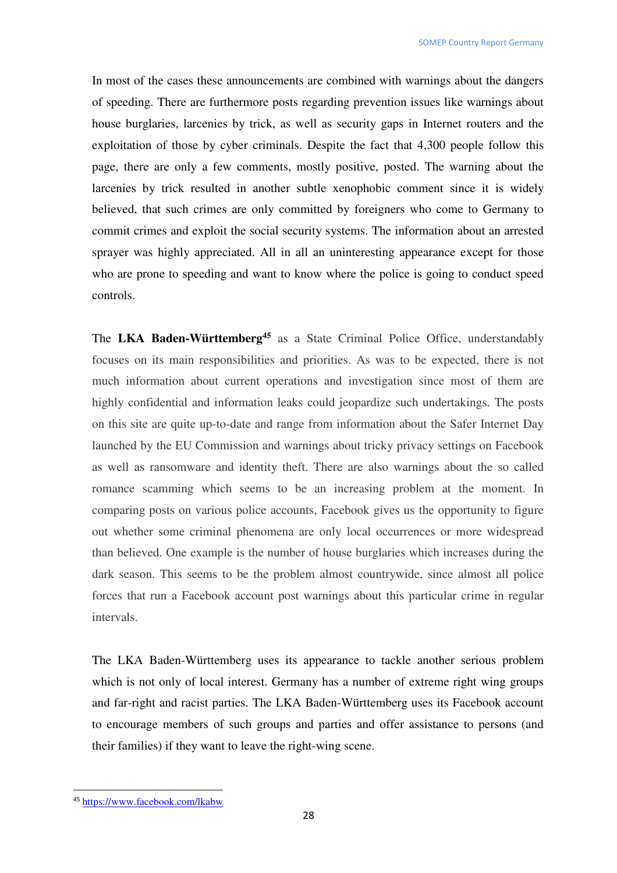In most of the cases these announcements are combined with warnings about the dangers of speeding. There are furthermore posts regarding prevention issues like warnings about house burglaries, larcenies by trick, as well as security gaps in Internet routers and the exploitation of those by cyber criminals. Despite the fact that 4,300 people follow this page, there are only a few comments, mostly positive, posted. The warning about the larcenies by trick resulted in another subtle xenophobic comment since it is widely believed, that such crimes are only committed by foreigners who come to Germany to commit crimes and exploit the social security systems. The information about an arrested sprayer was highly appreciated. All in all an uninteresting appearance except for those who are prone to speeding and want to know where the police is going to conduct speed controls.

The **LKA Baden-Württemberg<sup>45</sup>** as a State Criminal Police Office, understandably focuses on its main responsibilities and priorities. As was to be expected, there is not much information about current operations and investigation since most of them are highly confidential and information leaks could jeopardize such undertakings. The posts on this site are quite up-to-date and range from information about the Safer Internet Day launched by the EU Commission and warnings about tricky privacy settings on Facebook as well as ransomware and identity theft. There are also warnings about the so called romance scamming which seems to be an increasing problem at the moment. In comparing posts on various police accounts, Facebook gives us the opportunity to figure out whether some criminal phenomena are only local occurrences or more widespread than believed. One example is the number of house burglaries which increases during the dark season. This seems to be the problem almost countrywide, since almost all police forces that run a Facebook account post warnings about this particular crime in regular intervals.

The LKA Baden-Württemberg uses its appearance to tackle another serious problem which is not only of local interest. Germany has a number of extreme right wing groups and far-right and racist parties. The LKA Baden-Württemberg uses its Facebook account to encourage members of such groups and parties and offer assistance to persons (and their families) if they want to leave the right-wing scene.

<sup>45</sup> https://www.facebook.com/lkabw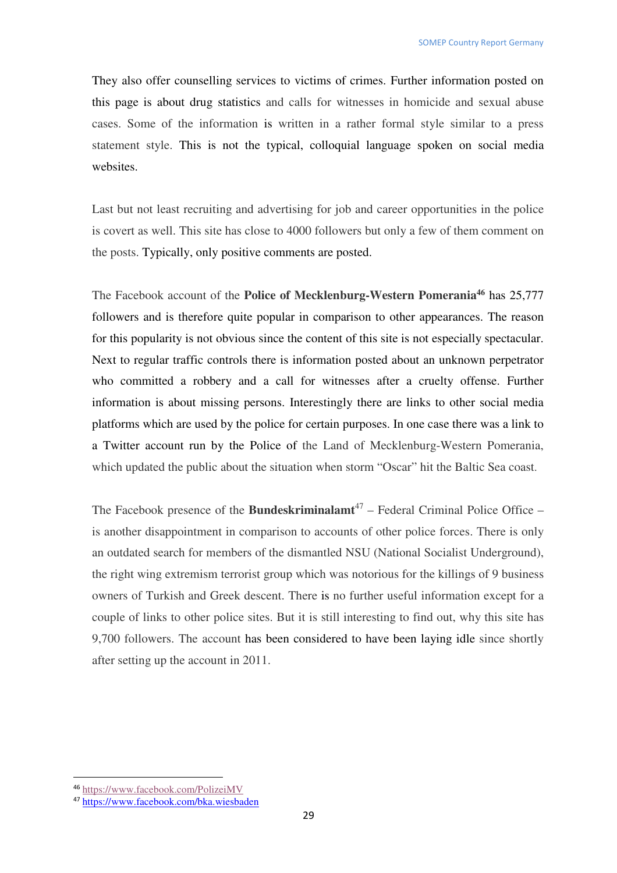They also offer counselling services to victims of crimes. Further information posted on this page is about drug statistics and calls for witnesses in homicide and sexual abuse cases. Some of the information is written in a rather formal style similar to a press statement style. This is not the typical, colloquial language spoken on social media websites.

Last but not least recruiting and advertising for job and career opportunities in the police is covert as well. This site has close to 4000 followers but only a few of them comment on the posts. Typically, only positive comments are posted.

The Facebook account of the **Police of Mecklenburg-Western Pomerania<sup>46</sup>** has 25,777 followers and is therefore quite popular in comparison to other appearances. The reason for this popularity is not obvious since the content of this site is not especially spectacular. Next to regular traffic controls there is information posted about an unknown perpetrator who committed a robbery and a call for witnesses after a cruelty offense. Further information is about missing persons. Interestingly there are links to other social media platforms which are used by the police for certain purposes. In one case there was a link to a Twitter account run by the Police of the Land of Mecklenburg-Western Pomerania, which updated the public about the situation when storm "Oscar" hit the Baltic Sea coast.

The Facebook presence of the **Bundeskriminalamt**<sup>47</sup> – Federal Criminal Police Office – is another disappointment in comparison to accounts of other police forces. There is only an outdated search for members of the dismantled NSU (National Socialist Underground), the right wing extremism terrorist group which was notorious for the killings of 9 business owners of Turkish and Greek descent. There is no further useful information except for a couple of links to other police sites. But it is still interesting to find out, why this site has 9,700 followers. The account has been considered to have been laying idle since shortly after setting up the account in 2011.

<sup>46</sup> https://www.facebook.com/PolizeiMV

<sup>47</sup> https://www.facebook.com/bka.wiesbaden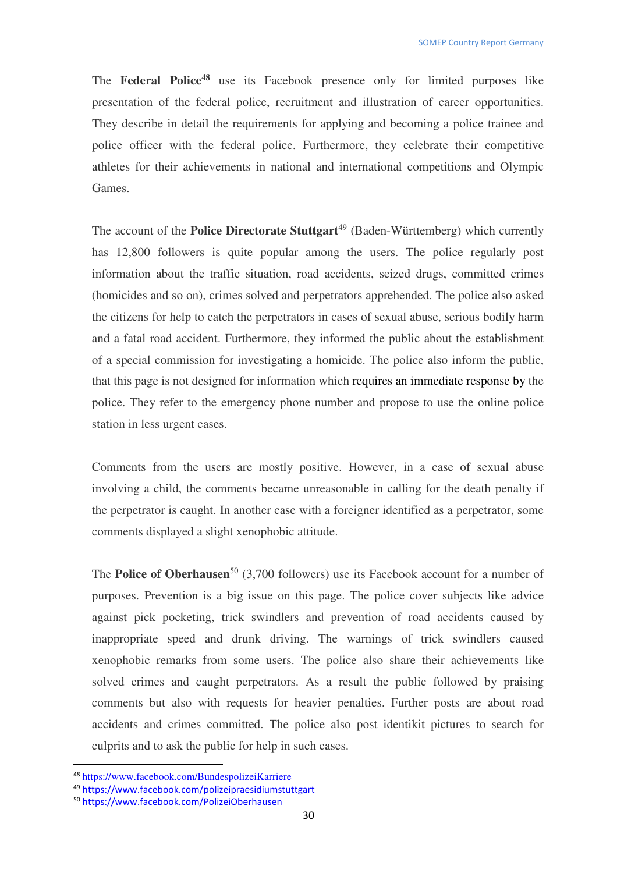The **Federal Police<sup>48</sup>** use its Facebook presence only for limited purposes like presentation of the federal police, recruitment and illustration of career opportunities. They describe in detail the requirements for applying and becoming a police trainee and police officer with the federal police. Furthermore, they celebrate their competitive athletes for their achievements in national and international competitions and Olympic Games.

The account of the **Police Directorate Stuttgart**<sup>49</sup> (Baden-Württemberg) which currently has 12,800 followers is quite popular among the users. The police regularly post information about the traffic situation, road accidents, seized drugs, committed crimes (homicides and so on), crimes solved and perpetrators apprehended. The police also asked the citizens for help to catch the perpetrators in cases of sexual abuse, serious bodily harm and a fatal road accident. Furthermore, they informed the public about the establishment of a special commission for investigating a homicide. The police also inform the public, that this page is not designed for information which requires an immediate response by the police. They refer to the emergency phone number and propose to use the online police station in less urgent cases.

Comments from the users are mostly positive. However, in a case of sexual abuse involving a child, the comments became unreasonable in calling for the death penalty if the perpetrator is caught. In another case with a foreigner identified as a perpetrator, some comments displayed a slight xenophobic attitude.

The **Police of Oberhausen**<sup>50</sup> (3,700 followers) use its Facebook account for a number of purposes. Prevention is a big issue on this page. The police cover subjects like advice against pick pocketing, trick swindlers and prevention of road accidents caused by inappropriate speed and drunk driving. The warnings of trick swindlers caused xenophobic remarks from some users. The police also share their achievements like solved crimes and caught perpetrators. As a result the public followed by praising comments but also with requests for heavier penalties. Further posts are about road accidents and crimes committed. The police also post identikit pictures to search for culprits and to ask the public for help in such cases.

<sup>48</sup> https://www.facebook.com/BundespolizeiKarriere

<sup>49</sup> https://www.facebook.com/polizeipraesidiumstuttgart

<sup>50</sup> https://www.facebook.com/PolizeiOberhausen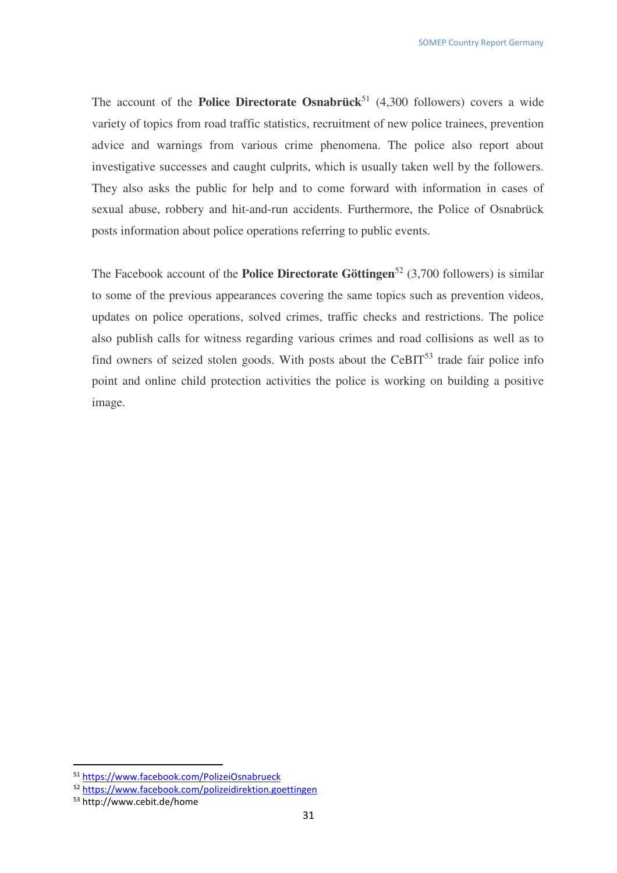The account of the **Police Directorate Osnabrück**<sup>51</sup> (4,300 followers) covers a wide variety of topics from road traffic statistics, recruitment of new police trainees, prevention advice and warnings from various crime phenomena. The police also report about investigative successes and caught culprits, which is usually taken well by the followers. They also asks the public for help and to come forward with information in cases of sexual abuse, robbery and hit-and-run accidents. Furthermore, the Police of Osnabrück posts information about police operations referring to public events.

The Facebook account of the **Police Directorate Göttingen**<sup>52</sup> (3,700 followers) is similar to some of the previous appearances covering the same topics such as prevention videos, updates on police operations, solved crimes, traffic checks and restrictions. The police also publish calls for witness regarding various crimes and road collisions as well as to find owners of seized stolen goods. With posts about the  $CeBIT<sup>53</sup>$  trade fair police info point and online child protection activities the police is working on building a positive image.

<sup>51</sup> https://www.facebook.com/PolizeiOsnabrueck

<sup>52</sup> https://www.facebook.com/polizeidirektion.goettingen

<sup>53</sup> http://www.cebit.de/home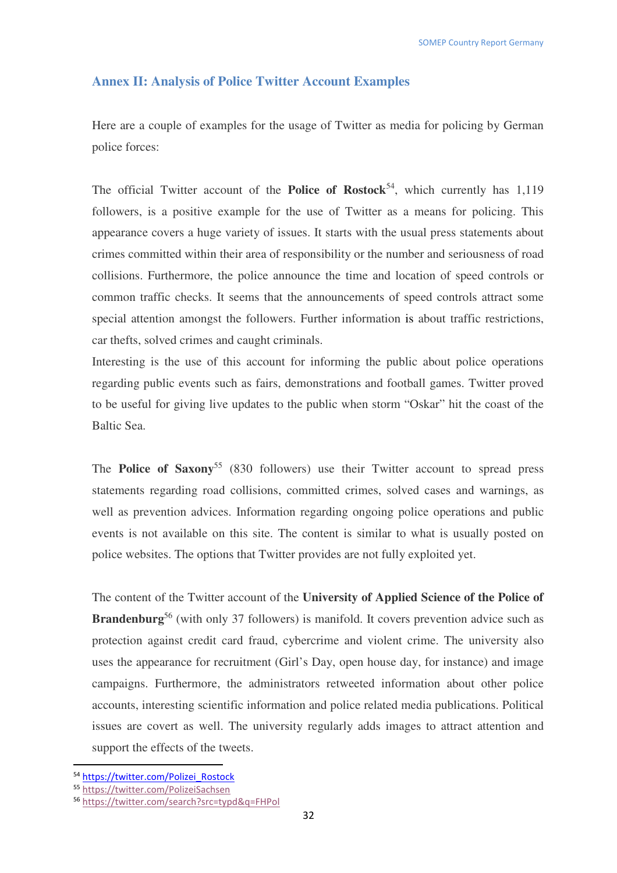## **Annex II: Analysis of Police Twitter Account Examples**

Here are a couple of examples for the usage of Twitter as media for policing by German police forces:

The official Twitter account of the **Police of Rostock**<sup>54</sup>, which currently has  $1.119$ followers, is a positive example for the use of Twitter as a means for policing. This appearance covers a huge variety of issues. It starts with the usual press statements about crimes committed within their area of responsibility or the number and seriousness of road collisions. Furthermore, the police announce the time and location of speed controls or common traffic checks. It seems that the announcements of speed controls attract some special attention amongst the followers. Further information is about traffic restrictions, car thefts, solved crimes and caught criminals.

Interesting is the use of this account for informing the public about police operations regarding public events such as fairs, demonstrations and football games. Twitter proved to be useful for giving live updates to the public when storm "Oskar" hit the coast of the Baltic Sea.

The **Police of Saxony**<sup>55</sup> (830 followers) use their Twitter account to spread press statements regarding road collisions, committed crimes, solved cases and warnings, as well as prevention advices. Information regarding ongoing police operations and public events is not available on this site. The content is similar to what is usually posted on police websites. The options that Twitter provides are not fully exploited yet.

The content of the Twitter account of the **University of Applied Science of the Police of Brandenburg**<sup>56</sup> (with only 37 followers) is manifold. It covers prevention advice such as protection against credit card fraud, cybercrime and violent crime. The university also uses the appearance for recruitment (Girl's Day, open house day, for instance) and image campaigns. Furthermore, the administrators retweeted information about other police accounts, interesting scientific information and police related media publications. Political issues are covert as well. The university regularly adds images to attract attention and support the effects of the tweets.

<sup>54</sup> https://twitter.com/Polizei\_Rostock

<sup>55</sup> https://twitter.com/PolizeiSachsen

<sup>56</sup> https://twitter.com/search?src=typd&q=FHPol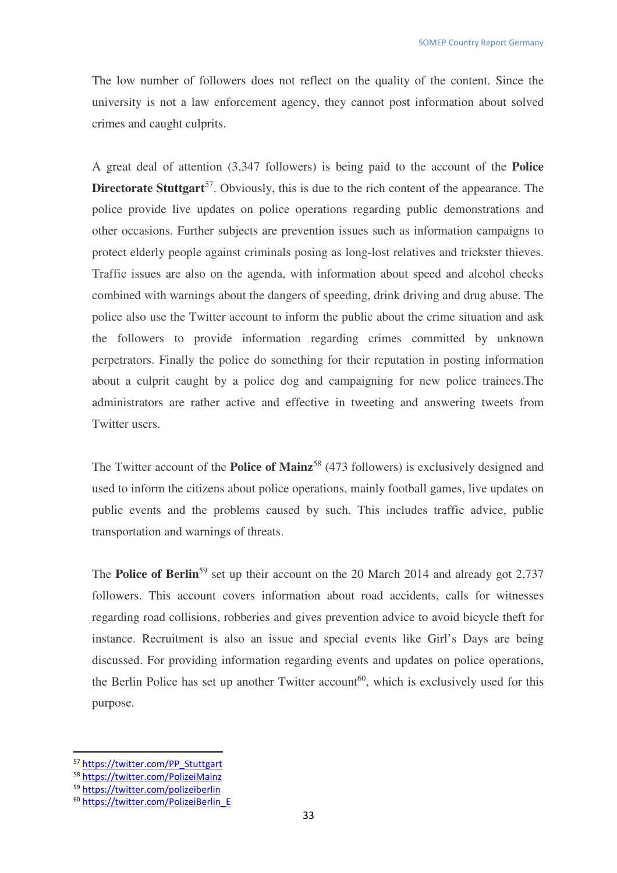The low number of followers does not reflect on the quality of the content. Since the university is not a law enforcement agency, they cannot post information about solved crimes and caught culprits.

A great deal of attention (3,347 followers) is being paid to the account of the **Police Directorate Stuttgart**<sup>57</sup>. Obviously, this is due to the rich content of the appearance. The police provide live updates on police operations regarding public demonstrations and other occasions. Further subjects are prevention issues such as information campaigns to protect elderly people against criminals posing as long-lost relatives and trickster thieves. Traffic issues are also on the agenda, with information about speed and alcohol checks combined with warnings about the dangers of speeding, drink driving and drug abuse. The police also use the Twitter account to inform the public about the crime situation and ask the followers to provide information regarding crimes committed by unknown perpetrators. Finally the police do something for their reputation in posting information about a culprit caught by a police dog and campaigning for new police trainees.The administrators are rather active and effective in tweeting and answering tweets from Twitter users.

The Twitter account of the **Police of Mainz**<sup>58</sup> (473 followers) is exclusively designed and used to inform the citizens about police operations, mainly football games, live updates on public events and the problems caused by such. This includes traffic advice, public transportation and warnings of threats.

The **Police of Berlin**<sup>59</sup> set up their account on the 20 March 2014 and already got 2,737 followers. This account covers information about road accidents, calls for witnesses regarding road collisions, robberies and gives prevention advice to avoid bicycle theft for instance. Recruitment is also an issue and special events like Girl's Days are being discussed. For providing information regarding events and updates on police operations, the Berlin Police has set up another Twitter account<sup>60</sup>, which is exclusively used for this purpose.

<sup>57</sup> https://twitter.com/PP\_Stuttgart

<sup>58</sup> https://twitter.com/PolizeiMainz

<sup>59</sup> https://twitter.com/polizeiberlin

<sup>60</sup> https://twitter.com/PolizeiBerlin\_E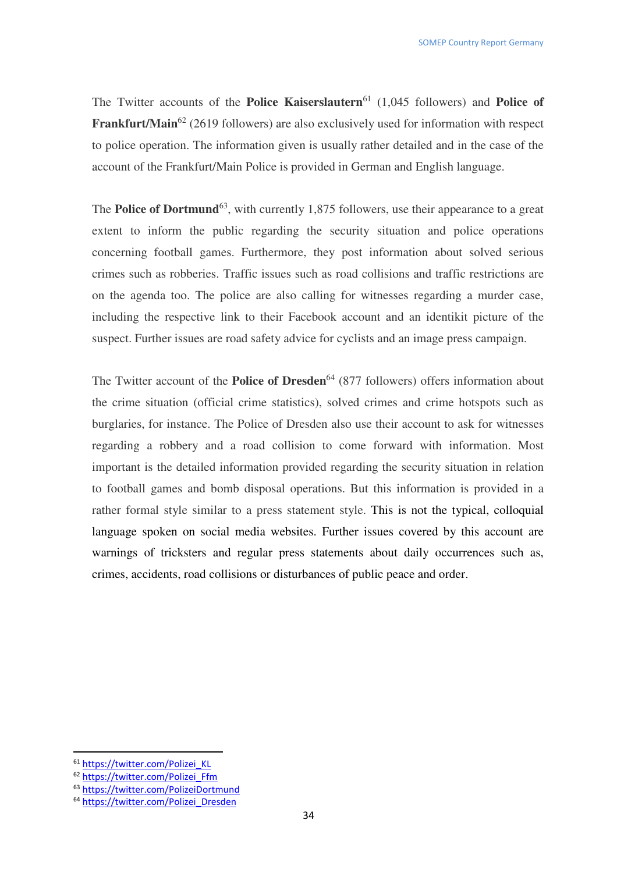The Twitter accounts of the **Police Kaiserslautern**<sup>61</sup> (1,045 followers) and **Police of Frankfurt/Main**<sup>62</sup> (2619 followers) are also exclusively used for information with respect to police operation. The information given is usually rather detailed and in the case of the account of the Frankfurt/Main Police is provided in German and English language.

The **Police of Dortmund**<sup>63</sup>, with currently 1,875 followers, use their appearance to a great extent to inform the public regarding the security situation and police operations concerning football games. Furthermore, they post information about solved serious crimes such as robberies. Traffic issues such as road collisions and traffic restrictions are on the agenda too. The police are also calling for witnesses regarding a murder case, including the respective link to their Facebook account and an identikit picture of the suspect. Further issues are road safety advice for cyclists and an image press campaign.

The Twitter account of the **Police of Dresden**<sup>64</sup> (877 followers) offers information about the crime situation (official crime statistics), solved crimes and crime hotspots such as burglaries, for instance. The Police of Dresden also use their account to ask for witnesses regarding a robbery and a road collision to come forward with information. Most important is the detailed information provided regarding the security situation in relation to football games and bomb disposal operations. But this information is provided in a rather formal style similar to a press statement style. This is not the typical, colloquial language spoken on social media websites. Further issues covered by this account are warnings of tricksters and regular press statements about daily occurrences such as, crimes, accidents, road collisions or disturbances of public peace and order.

<sup>61</sup> https://twitter.com/Polizei\_KL

<sup>62</sup> https://twitter.com/Polizei\_Ffm

<sup>63</sup> https://twitter.com/PolizeiDortmund

<sup>64</sup> https://twitter.com/Polizei\_Dresden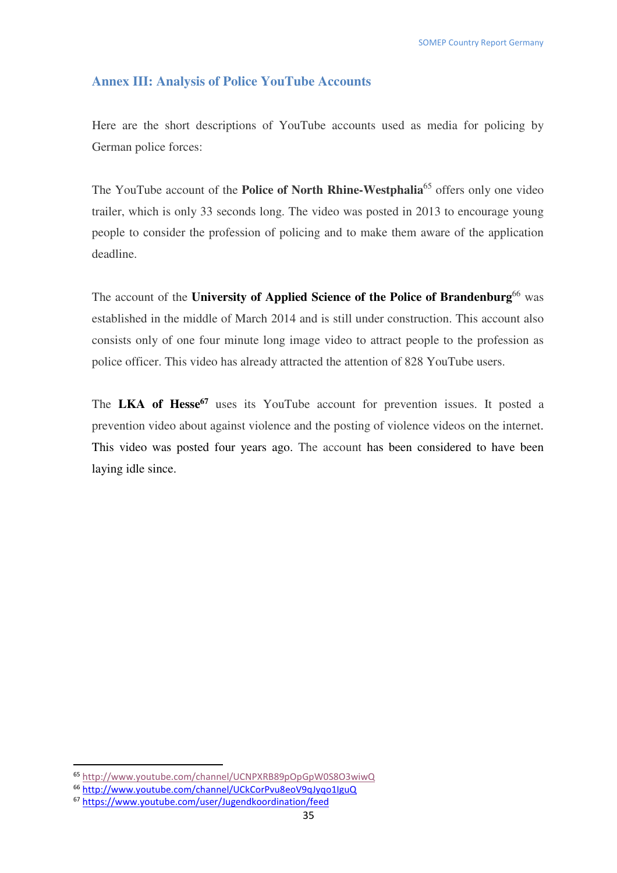#### **Annex III: Analysis of Police YouTube Accounts**

Here are the short descriptions of YouTube accounts used as media for policing by German police forces:

The YouTube account of the **Police of North Rhine-Westphalia**<sup>65</sup> offers only one video trailer, which is only 33 seconds long. The video was posted in 2013 to encourage young people to consider the profession of policing and to make them aware of the application deadline.

The account of the **University of Applied Science of the Police of Brandenburg**<sup>66</sup> was established in the middle of March 2014 and is still under construction. This account also consists only of one four minute long image video to attract people to the profession as police officer. This video has already attracted the attention of 828 YouTube users.

The **LKA of Hesse<sup>67</sup>** uses its YouTube account for prevention issues. It posted a prevention video about against violence and the posting of violence videos on the internet. This video was posted four years ago. The account has been considered to have been laying idle since.

<sup>65</sup> http://www.youtube.com/channel/UCNPXRB89pOpGpW0S8O3wiwQ

<sup>66</sup> http://www.youtube.com/channel/UCkCorPvu8eoV9qJyqo1IguQ

<sup>67</sup> https://www.youtube.com/user/Jugendkoordination/feed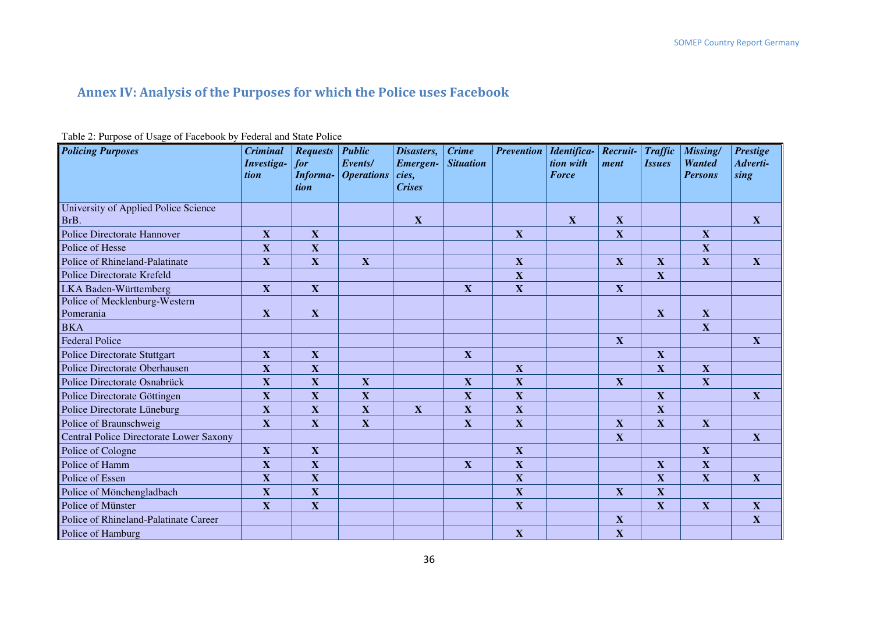## **Annex IV: Analysis of the Purposes for which the Police uses Facebook**

| Table 2. I appose of esage of I account by I caeful and blair I office<br><b>Policing Purposes</b> | <b>Criminal</b><br>Investiga-<br>tion | <b>Requests Public</b><br>for | Events/<br><b>Informa- Operations</b> | Disasters,<br>Emergen-<br>$\vert$ cies, | <b>Crime</b><br><b>Situation</b> | <b>Prevention</b>         | Identifica-<br>tion with<br><b>Force</b> | $Recruit -$<br>ment       | <b>Traffic</b><br><i><b>Issues</b></i> | Missing/<br><b>Wanted</b><br><b>Persons</b> | <b>Prestige</b><br>Adverti-<br>sing |
|----------------------------------------------------------------------------------------------------|---------------------------------------|-------------------------------|---------------------------------------|-----------------------------------------|----------------------------------|---------------------------|------------------------------------------|---------------------------|----------------------------------------|---------------------------------------------|-------------------------------------|
|                                                                                                    |                                       | tion                          |                                       | <b>Crises</b>                           |                                  |                           |                                          |                           |                                        |                                             |                                     |
| University of Applied Police Science<br>BrB.                                                       |                                       |                               |                                       | $\mathbf{X}$                            |                                  |                           | $\mathbf{X}$                             | X                         |                                        |                                             | X                                   |
| <b>Police Directorate Hannover</b>                                                                 | $\mathbf X$                           | X                             |                                       |                                         |                                  | $\mathbf{X}$              |                                          | $\mathbf X$               |                                        | X                                           |                                     |
| Police of Hesse                                                                                    | $\mathbf X$                           | X                             |                                       |                                         |                                  |                           |                                          |                           |                                        | $\mathbf X$                                 |                                     |
| Police of Rhineland-Palatinate                                                                     | $\overline{\mathbf{X}}$               | $\mathbf X$                   | $\mathbf X$                           |                                         |                                  | $\mathbf X$               |                                          | $\mathbf X$               | $\mathbf X$                            | X                                           | $\boldsymbol{\mathrm{X}}$           |
| <b>Police Directorate Krefeld</b>                                                                  |                                       |                               |                                       |                                         |                                  | $\mathbf X$               |                                          |                           | $\mathbf X$                            |                                             |                                     |
| LKA Baden-Württemberg                                                                              | X                                     | X                             |                                       |                                         | $\mathbf X$                      | $\mathbf X$               |                                          | $\mathbf X$               |                                        |                                             |                                     |
| Police of Mecklenburg-Western                                                                      |                                       |                               |                                       |                                         |                                  |                           |                                          |                           |                                        |                                             |                                     |
| Pomerania                                                                                          | X                                     | X                             |                                       |                                         |                                  |                           |                                          |                           | $\mathbf X$                            | $\mathbf X$                                 |                                     |
| <b>BKA</b>                                                                                         |                                       |                               |                                       |                                         |                                  |                           |                                          |                           |                                        | $\mathbf X$                                 |                                     |
| <b>Federal Police</b>                                                                              |                                       |                               |                                       |                                         |                                  |                           |                                          | $\mathbf X$               |                                        |                                             | $\boldsymbol{\mathrm{X}}$           |
| <b>Police Directorate Stuttgart</b>                                                                | $\boldsymbol{\mathrm{X}}$             | $\mathbf X$                   |                                       |                                         | $\mathbf X$                      |                           |                                          |                           | $\mathbf X$                            |                                             |                                     |
| Police Directorate Oberhausen                                                                      | $\overline{\mathbf{X}}$               | $\mathbf X$                   |                                       |                                         |                                  | $\mathbf X$               |                                          |                           | $\mathbf X$                            | X                                           |                                     |
| Police Directorate Osnabrück                                                                       | $\mathbf X$                           | X                             | $\mathbf{X}$                          |                                         | $\boldsymbol{\mathrm{X}}$        | $\mathbf X$               |                                          | $\boldsymbol{\mathrm{X}}$ |                                        | $\mathbf{X}$                                |                                     |
| Police Directorate Göttingen                                                                       | $\mathbf X$                           | X                             | $\boldsymbol{\mathrm{X}}$             |                                         | $\mathbf X$                      | $\boldsymbol{\mathrm{X}}$ |                                          |                           | $\mathbf{X}$                           |                                             | $\boldsymbol{\mathrm{X}}$           |
| Police Directorate Lüneburg                                                                        | $\mathbf X$                           | X                             | X                                     | $\mathbf{X}$                            | $\mathbf{X}$                     | $\mathbf X$               |                                          |                           | $\mathbf{X}$                           |                                             |                                     |
| Police of Braunschweig                                                                             | $\mathbf X$                           | $\mathbf X$                   | $\mathbf X$                           |                                         | $\mathbf X$                      | $\mathbf X$               |                                          | $\mathbf X$               | $\mathbf X$                            | $\mathbf{X}$                                |                                     |
| <b>Central Police Directorate Lower Saxony</b>                                                     |                                       |                               |                                       |                                         |                                  |                           |                                          | $\mathbf X$               |                                        |                                             | $\mathbf X$                         |
| Police of Cologne                                                                                  | X                                     | $\mathbf X$                   |                                       |                                         |                                  | $\boldsymbol{\mathrm{X}}$ |                                          |                           |                                        | X                                           |                                     |
| Police of Hamm                                                                                     | $\overline{\mathbf{X}}$               | $\mathbf X$                   |                                       |                                         | $\mathbf{X}$                     | $\mathbf X$               |                                          |                           | $\mathbf{X}$                           | X                                           |                                     |
| Police of Essen                                                                                    | $\mathbf X$                           | $\mathbf X$                   |                                       |                                         |                                  | $\mathbf X$               |                                          |                           | $\mathbf{X}$                           | $\mathbf{X}$                                | $\boldsymbol{\mathrm{X}}$           |
| Police of Mönchengladbach                                                                          | $\mathbf X$                           | $\mathbf X$                   |                                       |                                         |                                  | $\mathbf X$               |                                          | $\mathbf X$               | $\mathbf{X}$                           |                                             |                                     |
| Police of Münster                                                                                  | $\mathbf X$                           | $\mathbf X$                   |                                       |                                         |                                  | $\mathbf{X}$              |                                          |                           | $\mathbf{X}$                           | X                                           | $\boldsymbol{\mathrm{X}}$           |
| Police of Rhineland-Palatinate Career                                                              |                                       |                               |                                       |                                         |                                  |                           |                                          | $\mathbf X$               |                                        |                                             | $\mathbf X$                         |
| Police of Hamburg                                                                                  |                                       |                               |                                       |                                         |                                  | $\mathbf X$               |                                          | $\mathbf X$               |                                        |                                             |                                     |

#### Table 2: Purpose of Usage of Facebook by Federal and State Police